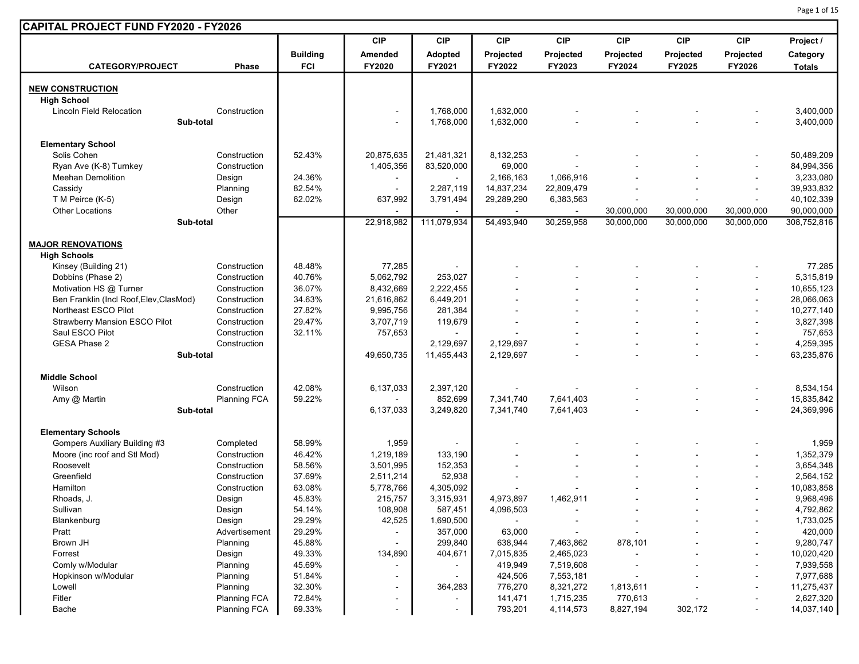|                                                    |                                 |                  | <b>CIP</b>                         | <b>CIP</b>     | CIP                      | <b>CIP</b>             | <b>CIP</b>               | <b>CIP</b>               | <b>CIP</b>               | Project /                 |
|----------------------------------------------------|---------------------------------|------------------|------------------------------------|----------------|--------------------------|------------------------|--------------------------|--------------------------|--------------------------|---------------------------|
|                                                    |                                 | <b>Building</b>  | Amended                            | <b>Adopted</b> | Projected                | Projected              | Projected                | Projected                | Projected                | Category                  |
| <b>CATEGORY/PROJECT</b>                            | <b>Phase</b>                    | <b>FCI</b>       | FY2020                             | FY2021         | FY2022                   | FY2023                 | FY2024                   | FY2025                   | FY2026                   | <b>Totals</b>             |
| <b>NEW CONSTRUCTION</b>                            |                                 |                  |                                    |                |                          |                        |                          |                          |                          |                           |
| <b>High School</b>                                 |                                 |                  |                                    |                |                          |                        |                          |                          |                          |                           |
| <b>Lincoln Field Relocation</b>                    | Construction                    |                  | $\overline{\phantom{a}}$           | 1,768,000      | 1,632,000                |                        |                          |                          |                          | 3,400,000                 |
| Sub-total                                          |                                 |                  | $\overline{\phantom{a}}$           | 1,768,000      | 1,632,000                |                        |                          |                          |                          | 3,400,000                 |
|                                                    |                                 |                  |                                    |                |                          |                        |                          |                          |                          |                           |
| <b>Elementary School</b><br>Solis Cohen            | Construction                    | 52.43%           | 20,875,635                         | 21,481,321     | 8,132,253                |                        |                          |                          |                          | 50,489,209                |
|                                                    | Construction                    |                  |                                    |                |                          |                        |                          |                          |                          |                           |
| Ryan Ave (K-8) Turnkey<br><b>Meehan Demolition</b> |                                 | 24.36%           | 1,405,356                          | 83,520,000     | 69,000<br>2,166,163      | 1,066,916              |                          |                          |                          | 84,994,356<br>3,233,080   |
|                                                    | Design<br>Planning              | 82.54%           | $\overline{\phantom{a}}$<br>$\sim$ | 2,287,119      | 14,837,234               | 22,809,479             |                          |                          | ÷,                       | 39,933,832                |
| Cassidy                                            |                                 | 62.02%           |                                    |                |                          |                        |                          |                          |                          |                           |
| T M Peirce (K-5)                                   | Design                          |                  | 637,992                            | 3,791,494      | 29,289,290               | 6,383,563              |                          |                          |                          | 40,102,339                |
| <b>Other Locations</b><br>Sub-total                | Other                           |                  | 22,918,982                         | 111,079,934    | 54,493,940               | 30,259,958             | 30,000,000<br>30,000,000 | 30,000,000<br>30,000,000 | 30,000,000<br>30,000,000 | 90,000,000<br>308,752,816 |
|                                                    |                                 |                  |                                    |                |                          |                        |                          |                          |                          |                           |
| <b>MAJOR RENOVATIONS</b>                           |                                 |                  |                                    |                |                          |                        |                          |                          |                          |                           |
| <b>High Schools</b>                                |                                 |                  |                                    |                |                          |                        |                          |                          |                          |                           |
| Kinsey (Building 21)                               | Construction                    | 48.48%           | 77,285                             |                |                          |                        |                          |                          |                          | 77,285                    |
| Dobbins (Phase 2)                                  | Construction                    | 40.76%           | 5,062,792                          | 253,027        |                          |                        |                          |                          |                          | 5,315,819                 |
| Motivation HS @ Turner                             | Construction                    | 36.07%           | 8,432,669                          | 2,222,455      |                          |                        |                          |                          |                          | 10,655,123                |
| Ben Franklin (Incl Roof, Elev, ClasMod)            | Construction                    | 34.63%           | 21,616,862                         | 6,449,201      |                          |                        |                          |                          | $\overline{\phantom{a}}$ | 28,066,063                |
| Northeast ESCO Pilot                               | Construction                    | 27.82%           | 9,995,756                          | 281,384        |                          |                        |                          |                          | $\overline{\phantom{a}}$ | 10,277,140                |
| <b>Strawberry Mansion ESCO Pilot</b>               | Construction                    | 29.47%           | 3,707,719                          | 119,679        |                          |                        |                          |                          |                          | 3,827,398                 |
| Saul ESCO Pilot                                    | Construction                    | 32.11%           | 757,653                            |                |                          |                        |                          |                          |                          | 757,653                   |
| <b>GESA Phase 2</b>                                | Construction                    |                  |                                    | 2,129,697      | 2,129,697                |                        |                          |                          | $\overline{\phantom{a}}$ | 4,259,395                 |
| Sub-total                                          |                                 |                  | 49,650,735                         | 11,455,443     | 2,129,697                |                        |                          |                          |                          | 63,235,876                |
| <b>Middle School</b>                               |                                 |                  |                                    |                |                          |                        |                          |                          |                          |                           |
| Wilson                                             | Construction                    | 42.08%           | 6,137,033                          | 2,397,120      |                          |                        |                          |                          |                          | 8,534,154                 |
| Amy @ Martin                                       | <b>Planning FCA</b>             | 59.22%           |                                    | 852,699        | 7,341,740                | 7,641,403              |                          |                          | ÷                        | 15,835,842                |
| Sub-total                                          |                                 |                  | 6,137,033                          | 3,249,820      | 7,341,740                | 7,641,403              |                          |                          |                          | 24,369,996                |
| <b>Elementary Schools</b>                          |                                 |                  |                                    |                |                          |                        |                          |                          |                          |                           |
| Gompers Auxiliary Building #3                      | Completed                       | 58.99%           | 1,959                              |                |                          |                        |                          |                          |                          | 1,959                     |
| Moore (inc roof and Stl Mod)                       | Construction                    | 46.42%           | 1,219,189                          | 133,190        |                          |                        |                          |                          |                          | 1,352,379                 |
| Roosevelt                                          | Construction                    | 58.56%           | 3,501,995                          | 152,353        |                          |                        |                          |                          |                          | 3,654,348                 |
| Greenfield                                         | Construction                    | 37.69%           | 2,511,214                          | 52,938         |                          |                        |                          |                          |                          | 2,564,152                 |
| Hamilton                                           | Construction                    | 63.08%           | 5,778,766                          | 4,305,092      |                          |                        |                          |                          |                          | 10,083,858                |
| Rhoads, J.                                         | Design                          | 45.83%           | 215,757                            | 3,315,931      | 4,973,897                | 1,462,911              |                          |                          |                          | 9,968,496                 |
| Sullivan                                           | Design                          | 54.14%           | 108,908                            | 587,451        | 4,096,503                |                        |                          |                          |                          | 4,792,862                 |
| Blankenburg                                        | Design                          | 29.29%           | 42,525                             | 1,690,500      | $\overline{\phantom{a}}$ |                        |                          |                          |                          | 1,733,025                 |
| Pratt                                              | Advertisement                   | 29.29%           |                                    | 357,000        |                          |                        |                          |                          |                          |                           |
| Brown JH                                           | Planning                        | 45.88%           | $\blacksquare$                     | 299,840        | 63,000<br>638,944        | 7,463,862              | 878,101                  |                          |                          | 420,000<br>9,280,747      |
|                                                    |                                 |                  |                                    |                |                          |                        |                          |                          |                          |                           |
| Forrest<br>Comly w/Modular                         | Design                          | 49.33%<br>45.69% | 134,890                            | 404,671        | 7,015,835                | 2,465,023              |                          |                          |                          | 10,020,420                |
| Hopkinson w/Modular                                | Planning                        |                  |                                    |                | 419,949                  | 7,519,608              |                          |                          |                          | 7,939,558                 |
|                                                    | Planning                        | 51.84%           |                                    |                | 424,506                  | 7,553,181              |                          |                          |                          | 7,977,688                 |
| Lowell<br>Fitler                                   | Planning<br><b>Planning FCA</b> | 32.30%<br>72.84% |                                    | 364,283        | 776,270                  | 8,321,272<br>1,715,235 | 1,813,611<br>770,613     |                          |                          | 11,275,437<br>2,627,320   |
| Bache                                              | <b>Planning FCA</b>             | 69.33%           | $\sim$                             |                | 141,471                  | 4,114,573              | 8,827,194                |                          |                          |                           |
|                                                    |                                 |                  |                                    |                | 793,201                  |                        |                          | 302,172                  |                          | 14,037,140                |

Page 1 of 15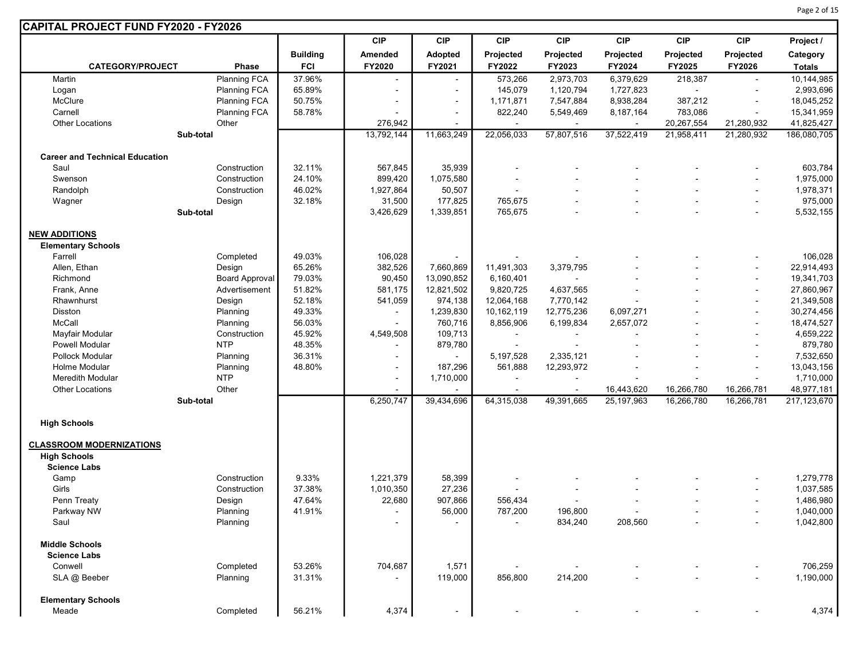| CAPITAL PROJECT FUND FY2020 - FY2026                   |                       |                 |                          |            |                |                |            |            |                          |               |
|--------------------------------------------------------|-----------------------|-----------------|--------------------------|------------|----------------|----------------|------------|------------|--------------------------|---------------|
|                                                        |                       |                 | <b>CIP</b>               | <b>CIP</b> | <b>CIP</b>     | <b>CIP</b>     | <b>CIP</b> | <b>CIP</b> | <b>CIP</b>               | Project /     |
|                                                        |                       | <b>Building</b> | Amended                  | Adopted    | Projected      | Projected      | Projected  | Projected  | Projected                | Category      |
| <b>CATEGORY/PROJECT</b>                                | Phase                 | <b>FCI</b>      | FY2020                   | FY2021     | FY2022         | FY2023         | FY2024     | FY2025     | FY2026                   | <b>Totals</b> |
| Martin                                                 | Planning FCA          | 37.96%          | $\overline{\phantom{a}}$ |            | 573,266        | 2,973,703      | 6,379,629  | 218,387    |                          | 10,144,985    |
| Logan                                                  | <b>Planning FCA</b>   | 65.89%          |                          |            | 145,079        | 1,120,794      | 1,727,823  |            |                          | 2,993,696     |
| McClure                                                | Planning FCA          | 50.75%          | $\blacksquare$           |            | 1,171,871      | 7,547,884      | 8,938,284  | 387,212    |                          | 18,045,252    |
| Carnell                                                | <b>Planning FCA</b>   | 58.78%          |                          |            | 822,240        | 5,549,469      | 8,187,164  | 783,086    | $\blacksquare$           | 15,341,959    |
| Other Locations                                        | Other                 |                 | 276,942                  |            |                |                |            | 20,267,554 | 21,280,932               | 41,825,427    |
|                                                        | Sub-total             |                 | 13,792,144               | 11,663,249 | 22,056,033     | 57,807,516     | 37,522,419 | 21,958,411 | 21,280,932               | 186,080,705   |
|                                                        |                       |                 |                          |            |                |                |            |            |                          |               |
| <b>Career and Technical Education</b><br>Saul          | Construction          | 32.11%          | 567,845                  | 35,939     |                |                |            |            |                          | 603,784       |
| Swenson                                                | Construction          | 24.10%          | 899,420                  | 1,075,580  |                |                |            |            |                          | 1,975,000     |
| Randolph                                               | Construction          | 46.02%          | 1,927,864                | 50,507     |                |                |            |            |                          | 1,978,371     |
| Wagner                                                 | Design                | 32.18%          | 31,500                   | 177,825    | 765,675        |                |            |            | $\blacksquare$           | 975,000       |
|                                                        | Sub-total             |                 | 3,426,629                | 1,339,851  | 765,675        |                |            |            | $\blacksquare$           | 5,532,155     |
|                                                        |                       |                 |                          |            |                |                |            |            |                          |               |
| <b>NEW ADDITIONS</b>                                   |                       |                 |                          |            |                |                |            |            |                          |               |
| <b>Elementary Schools</b>                              |                       |                 |                          |            |                |                |            |            |                          |               |
| Farrell                                                | Completed             | 49.03%          | 106,028                  |            |                |                |            |            |                          | 106,028       |
| Allen, Ethan                                           | Design                | 65.26%          | 382,526                  | 7,660,869  | 11,491,303     | 3,379,795      |            |            |                          | 22,914,493    |
| Richmond                                               | <b>Board Approval</b> | 79.03%          | 90,450                   | 13,090,852 | 6,160,401      | $\blacksquare$ |            |            | $\overline{\phantom{a}}$ | 19,341,703    |
| Frank, Anne                                            | Advertisement         | 51.82%          | 581,175                  | 12,821,502 | 9,820,725      | 4,637,565      |            |            | $\blacksquare$           | 27,860,967    |
| Rhawnhurst                                             | Design                | 52.18%          | 541,059                  | 974,138    | 12,064,168     | 7,770,142      |            |            |                          | 21,349,508    |
| Disston                                                | Planning              | 49.33%          | $\blacksquare$           | 1,239,830  | 10,162,119     | 12,775,236     | 6,097,271  |            |                          | 30,274,456    |
| McCall                                                 | Planning              | 56.03%          | $\sim$                   | 760,716    | 8,856,906      | 6,199,834      | 2,657,072  |            | $\blacksquare$           | 18,474,527    |
| Mayfair Modular                                        | Construction          | 45.92%          | 4,549,508                | 109,713    |                |                |            |            |                          | 4,659,222     |
| Powell Modular                                         | <b>NTP</b>            | 48.35%          |                          | 879,780    |                |                |            |            |                          | 879,780       |
| Pollock Modular                                        | Planning              | 36.31%          | $\sim$                   |            | 5,197,528      | 2,335,121      |            |            |                          | 7,532,650     |
| Holme Modular                                          | Planning              | 48.80%          | $\sim$                   | 187,296    | 561,888        | 12,293,972     |            |            | $\blacksquare$           | 13,043,156    |
| <b>Meredith Modular</b>                                | <b>NTP</b>            |                 | $\sim$                   | 1,710,000  | $\blacksquare$ |                |            |            |                          | 1,710,000     |
| <b>Other Locations</b>                                 | Other                 |                 |                          |            | $\sim$         |                | 16,443,620 | 16,266,780 | 16,266,781               | 48,977,181    |
|                                                        | Sub-total             |                 | 6,250,747                | 39,434,696 | 64,315,038     | 49,391,665     | 25,197,963 | 16,266,780 | 16,266,781               | 217,123,670   |
| <b>High Schools</b>                                    |                       |                 |                          |            |                |                |            |            |                          |               |
|                                                        |                       |                 |                          |            |                |                |            |            |                          |               |
| <b>CLASSROOM MODERNIZATIONS</b><br><b>High Schools</b> |                       |                 |                          |            |                |                |            |            |                          |               |
|                                                        |                       |                 |                          |            |                |                |            |            |                          |               |
| <b>Science Labs</b>                                    |                       |                 |                          |            |                |                |            |            |                          |               |
| Gamp                                                   | Construction          | 9.33%           | 1,221,379                | 58,399     |                |                |            |            |                          | 1,279,778     |
| Girls                                                  | Construction          | 37.38%          | 1,010,350                | 27,236     |                |                |            |            |                          | 1,037,585     |
| Penn Treaty                                            | Design                | 47.64%          | 22,680                   | 907,866    | 556,434        |                |            |            | $\overline{\phantom{a}}$ | 1,486,980     |
| Parkway NW                                             | Planning              | 41.91%          |                          | 56,000     | 787,200        | 196,800        |            |            |                          | 1,040,000     |
| Saul                                                   | Planning              |                 |                          |            |                | 834,240        | 208,560    |            |                          | 1,042,800     |
| <b>Middle Schools</b>                                  |                       |                 |                          |            |                |                |            |            |                          |               |
| <b>Science Labs</b>                                    |                       |                 |                          |            |                |                |            |            |                          |               |
| Conwell                                                | Completed             | 53.26%          | 704,687                  | 1,571      |                |                |            |            |                          | 706,259       |
| SLA @ Beeber                                           | Planning              | 31.31%          |                          | 119,000    | 856,800        | 214,200        |            |            |                          | 1,190,000     |
| <b>Elementary Schools</b>                              |                       |                 |                          |            |                |                |            |            |                          |               |
| Meade                                                  | Completed             | 56.21%          | 4,374                    |            |                |                |            |            |                          | 4,374         |
|                                                        |                       |                 |                          |            |                |                |            |            |                          |               |

Page 2 of 15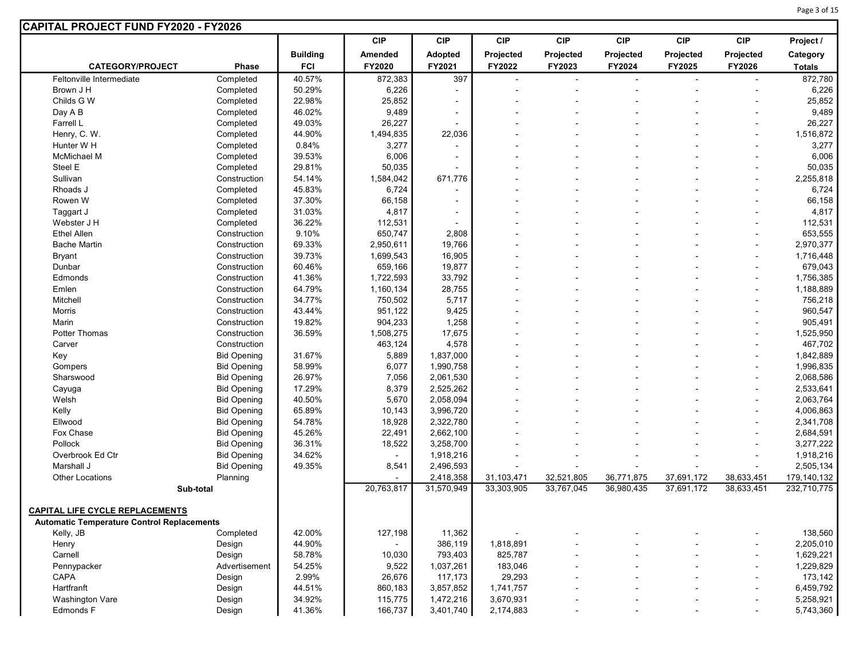|                                                   |                    |                 | <b>CIP</b> | <b>CIP</b>               | <b>CIP</b> | <b>CIP</b>     | <b>CIP</b>   | <b>CIP</b>     | <b>CIP</b>               | Project /     |
|---------------------------------------------------|--------------------|-----------------|------------|--------------------------|------------|----------------|--------------|----------------|--------------------------|---------------|
|                                                   |                    | <b>Building</b> | Amended    | Adopted                  | Projected  | Projected      | Projected    | Projected      | Projected                | Category      |
| <b>CATEGORY/PROJECT</b>                           | Phase              | <b>FCI</b>      | FY2020     | FY2021                   | FY2022     | FY2023         | FY2024       | FY2025         | FY2026                   | <b>Totals</b> |
| Feltonville Intermediate                          | Completed          | 40.57%          | 872,383    | 397                      | $\sim$     | $\blacksquare$ | $\mathbf{r}$ | $\overline{a}$ | $\blacksquare$           | 872,780       |
| Brown J H                                         | Completed          | 50.29%          | 6,226      | $\sim$                   |            |                |              |                |                          | 6,226         |
| Childs G W                                        | Completed          | 22.98%          | 25,852     |                          |            |                |              |                |                          | 25,852        |
| Day A B                                           | Completed          | 46.02%          | 9,489      | $\overline{\phantom{a}}$ |            |                |              |                |                          | 9,489         |
| Farrell L                                         | Completed          | 49.03%          | 26,227     | $\overline{\phantom{a}}$ |            |                |              |                | ۰                        | 26,227        |
| Henry, C. W.                                      | Completed          | 44.90%          | 1,494,835  | 22,036                   |            |                |              |                | ٠                        | 1,516,872     |
| Hunter W H                                        | Completed          | 0.84%           | 3,277      |                          |            |                |              |                |                          | 3,277         |
| <b>McMichael M</b>                                | Completed          | 39.53%          | 6,006      |                          |            |                |              |                |                          | 6,006         |
| Steel E                                           | Completed          | 29.81%          | 50,035     |                          |            |                |              |                | ÷                        | 50,035        |
| Sullivan                                          | Construction       | 54.14%          | 1,584,042  | 671,776                  |            |                |              |                |                          | 2,255,818     |
| Rhoads J                                          | Completed          | 45.83%          | 6,724      |                          |            |                |              |                | ٠                        | 6,724         |
| Rowen W                                           | Completed          | 37.30%          | 66,158     |                          |            |                |              |                |                          | 66,158        |
| Taggart J                                         | Completed          | 31.03%          | 4,817      |                          |            |                |              |                |                          | 4,817         |
| Webster J H                                       | Completed          | 36.22%          | 112,531    |                          |            |                |              |                |                          | 112,531       |
| <b>Ethel Allen</b>                                | Construction       | 9.10%           | 650,747    | 2,808                    |            |                |              |                | ٠                        | 653,555       |
| <b>Bache Martin</b>                               | Construction       | 69.33%          | 2,950,611  | 19,766                   |            |                |              |                | $\blacksquare$           | 2,970,377     |
| <b>Bryant</b>                                     | Construction       | 39.73%          | 1,699,543  | 16,905                   |            |                |              |                |                          | 1,716,448     |
| Dunbar                                            | Construction       | 60.46%          | 659,166    | 19,877                   |            |                |              |                | $\blacksquare$           | 679,043       |
| Edmonds                                           | Construction       | 41.36%          | 1,722,593  | 33,792                   |            |                |              |                | ÷                        | 1,756,385     |
| Emlen                                             | Construction       | 64.79%          | 1,160,134  | 28,755                   |            |                |              |                |                          | 1,188,889     |
| Mitchell                                          | Construction       | 34.77%          | 750,502    | 5,717                    |            |                |              |                | ۰                        | 756,218       |
| Morris                                            | Construction       | 43.44%          | 951,122    | 9,425                    |            |                |              |                | $\blacksquare$           | 960,547       |
| Marin                                             | Construction       | 19.82%          | 904,233    | 1,258                    |            |                |              |                |                          | 905,491       |
| Potter Thomas                                     | Construction       | 36.59%          | 1,508,275  | 17,675                   |            |                |              |                | ÷                        | 1,525,950     |
| Carver                                            | Construction       |                 | 463,124    | 4,578                    |            |                |              |                | $\blacksquare$           | 467,702       |
| Key                                               | <b>Bid Opening</b> | 31.67%          | 5,889      | 1,837,000                |            |                |              |                | $\overline{\phantom{0}}$ | 1,842,889     |
| Gompers                                           | <b>Bid Opening</b> | 58.99%          | 6,077      | 1,990,758                |            |                |              |                |                          | 1,996,835     |
| Sharswood                                         | <b>Bid Opening</b> | 26.97%          | 7,056      | 2,061,530                |            |                |              |                | $\blacksquare$           | 2,068,586     |
| Cayuga                                            | <b>Bid Opening</b> | 17.29%          | 8,379      | 2,525,262                |            |                |              |                | $\blacksquare$           | 2,533,641     |
| Welsh                                             | <b>Bid Opening</b> | 40.50%          | 5,670      | 2,058,094                |            |                |              |                |                          | 2,063,764     |
| Kelly                                             | <b>Bid Opening</b> | 65.89%          | 10,143     | 3,996,720                |            |                |              |                | $\overline{\phantom{0}}$ | 4,006,863     |
| Ellwood                                           | <b>Bid Opening</b> | 54.78%          | 18,928     | 2,322,780                |            |                |              |                | $\blacksquare$           | 2,341,708     |
| Fox Chase                                         | <b>Bid Opening</b> | 45.26%          | 22,491     | 2,662,100                |            |                |              |                | $\blacksquare$           | 2,684,591     |
| Pollock                                           | <b>Bid Opening</b> | 36.31%          | 18,522     | 3,258,700                |            |                |              |                | $\blacksquare$           | 3,277,222     |
| Overbrook Ed Ctr                                  | <b>Bid Opening</b> | 34.62%          |            | 1,918,216                |            |                |              |                | ۰                        | 1,918,216     |
| Marshall J                                        | <b>Bid Opening</b> | 49.35%          | 8,541      | 2,496,593                |            |                |              |                | ÷                        | 2,505,134     |
| <b>Other Locations</b>                            | Planning           |                 |            | 2,418,358                | 31,103,471 | 32,521,805     | 36,771,875   | 37,691,172     | 38,633,451               | 179,140,132   |
|                                                   | Sub-total          |                 | 20,763,817 | 31,570,949               | 33,303,905 | 33,767,045     | 36,980,435   | 37,691,172     | 38,633,451               | 232,710,775   |
|                                                   |                    |                 |            |                          |            |                |              |                |                          |               |
| <u>CAPITAL LIFE CYCLE REPLACEMENTS</u>            |                    |                 |            |                          |            |                |              |                |                          |               |
| <b>Automatic Temperature Control Replacements</b> | Completed          | 42.00%          |            |                          |            |                |              |                |                          |               |
| Kelly, JB                                         |                    |                 | 127,198    | 11,362                   |            |                |              |                |                          | 138,560       |
| Henry                                             | Design             | 44.90%          |            | 386,119                  | 1,818,891  |                |              |                | $\blacksquare$           | 2,205,010     |
| Carnell                                           | Design             | 58.78%          | 10,030     | 793,403                  | 825,787    |                |              |                | ÷                        | 1,629,221     |
| Pennypacker                                       | Advertisement      | 54.25%          | 9,522      | 1,037,261                | 183,046    |                |              |                | $\blacksquare$           | 1,229,829     |
| <b>CAPA</b>                                       | Design             | 2.99%           | 26,676     | 117,173                  | 29,293     |                |              |                | $\blacksquare$           | 173,142       |
| Hartfranft<br>Washington Vare                     | Design             | 44.51%          | 860,183    | 3,857,852                | 1,741,757  |                |              |                | ٠                        | 6,459,792     |
| Edmonds F                                         | Design             | 34.92%          | 115,775    | 1,472,216                | 3,670,931  |                |              |                | $\blacksquare$           | 5,258,921     |
|                                                   | Design             | 41.36%          | 166,737    | 3,401,740                | 2,174,883  |                |              |                | $\overline{a}$           | 5,743,360     |

Page 3 of 15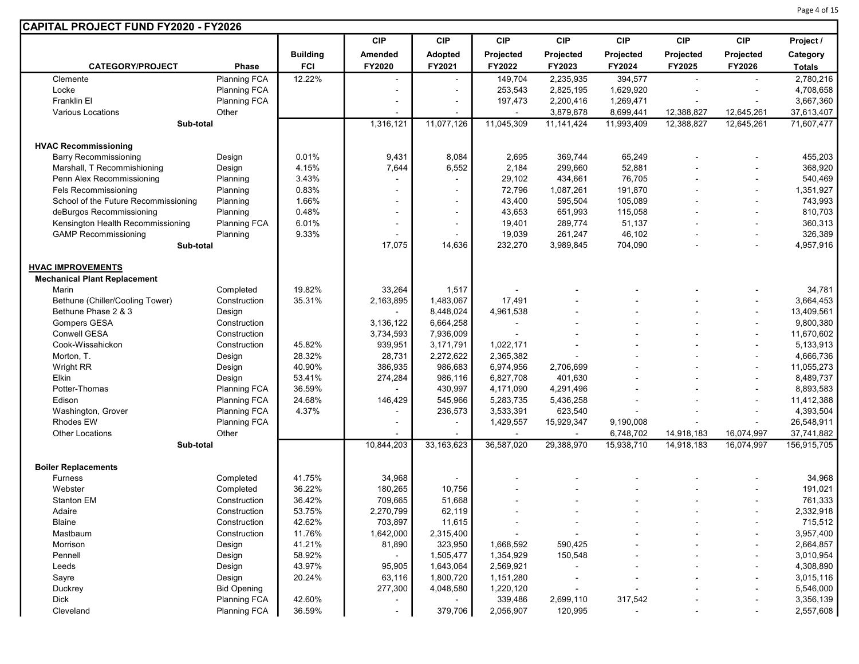| CAPITAL PROJECT FUND FY2020 - FY2026 |                     |                 |                |            |                |            |                          |            |            |               |
|--------------------------------------|---------------------|-----------------|----------------|------------|----------------|------------|--------------------------|------------|------------|---------------|
|                                      |                     |                 | <b>CIP</b>     | <b>CIP</b> | <b>CIP</b>     | <b>CIP</b> | <b>CIP</b>               | <b>CIP</b> | <b>CIP</b> | Project /     |
|                                      |                     | <b>Building</b> | Amended        | Adopted    | Projected      | Projected  | Projected                | Projected  | Projected  | Category      |
| <b>CATEGORY/PROJECT</b>              | <b>Phase</b>        | <b>FCI</b>      | FY2020         | FY2021     | FY2022         | FY2023     | FY2024                   | FY2025     | FY2026     | <b>Totals</b> |
| Clemente                             | <b>Planning FCA</b> | 12.22%          | $\blacksquare$ |            | 149,704        | 2,235,935  | 394,577                  |            |            | 2,780,216     |
| Locke                                | <b>Planning FCA</b> |                 |                |            | 253,543        | 2,825,195  | 1,629,920                |            |            | 4,708,658     |
| Franklin El                          | <b>Planning FCA</b> |                 |                |            | 197,473        | 2,200,416  | 1,269,471                |            |            | 3,667,360     |
| <b>Various Locations</b>             | Other               |                 |                |            | $\blacksquare$ | 3,879,878  | 8,699,441                | 12,388,827 | 12,645,261 | 37,613,407    |
| Sub-total                            |                     |                 | 1,316,121      | 11,077,126 | 11,045,309     | 11,141,424 | 11,993,409               | 12,388,827 | 12,645,261 | 71,607,477    |
|                                      |                     |                 |                |            |                |            |                          |            |            |               |
| <b>HVAC Recommissioning</b>          |                     |                 |                |            |                |            |                          |            |            |               |
| <b>Barry Recommissioning</b>         | Design              | 0.01%           | 9,431          | 8,084      | 2,695          | 369,744    | 65,249                   |            |            | 455,203       |
| Marshall, T Recommishioning          | Design              | 4.15%           | 7,644          | 6,552      | 2,184          | 299,660    | 52,881                   |            |            | 368,920       |
| Penn Alex Recommissioning            | Planning            | 3.43%           |                |            | 29,102         | 434,661    | 76,705                   |            |            | 540,469       |
| <b>Fels Recommissioning</b>          | Planning            | 0.83%           |                |            | 72,796         | 1,087,261  | 191,870                  |            |            | 1,351,927     |
| School of the Future Recommissioning | Planning            | 1.66%           |                |            | 43,400         | 595,504    | 105,089                  |            |            | 743,993       |
| deBurgos Recommissioning             | Planning            | 0.48%           |                |            | 43,653         | 651,993    | 115,058                  |            |            | 810,703       |
| Kensington Health Recommissioning    | <b>Planning FCA</b> | 6.01%           |                |            | 19,401         | 289,774    | 51,137                   |            |            | 360,313       |
| <b>GAMP Recommissioning</b>          | Planning            | 9.33%           |                |            | 19,039         | 261,247    | 46,102                   |            |            | 326,389       |
| Sub-total                            |                     |                 | 17,075         | 14,636     | 232,270        | 3,989,845  | 704,090                  |            |            | 4,957,916     |
|                                      |                     |                 |                |            |                |            |                          |            |            |               |
| <b>HVAC IMPROVEMENTS</b>             |                     |                 |                |            |                |            |                          |            |            |               |
| <b>Mechanical Plant Replacement</b>  |                     |                 |                |            |                |            |                          |            |            |               |
| Marin                                | Completed           | 19.82%          | 33,264         | 1,517      |                |            |                          |            |            | 34,781        |
| Bethune (Chiller/Cooling Tower)      | Construction        | 35.31%          | 2,163,895      | 1,483,067  | 17,491         |            |                          |            |            | 3,664,453     |
| Bethune Phase 2 & 3                  | Design              |                 |                | 8,448,024  | 4,961,538      |            |                          |            |            | 13,409,561    |
| <b>Gompers GESA</b>                  | Construction        |                 | 3,136,122      | 6,664,258  |                |            |                          |            |            | 9,800,380     |
| Conwell GESA                         | Construction        |                 | 3,734,593      | 7,936,009  | $\blacksquare$ |            |                          |            |            | 11,670,602    |
| Cook-Wissahickon                     | Construction        | 45.82%          | 939,951        | 3,171,791  | 1,022,171      |            |                          |            |            | 5,133,913     |
| Morton, T.                           | Design              | 28.32%          | 28,731         | 2,272,622  | 2,365,382      |            |                          |            |            | 4,666,736     |
| Wright RR                            | Design              | 40.90%          | 386,935        | 986,683    | 6,974,956      | 2,706,699  |                          |            |            | 11,055,273    |
| Elkin                                | Design              | 53.41%          | 274,284        | 986,116    | 6,827,708      | 401,630    |                          |            |            | 8,489,737     |
| Potter-Thomas                        | <b>Planning FCA</b> | 36.59%          |                | 430,997    | 4,171,090      | 4,291,496  |                          |            |            | 8,893,583     |
| Edison                               | <b>Planning FCA</b> | 24.68%          | 146,429        | 545,966    | 5,283,735      | 5,436,258  |                          |            |            | 11,412,388    |
| Washington, Grover                   | <b>Planning FCA</b> | 4.37%           |                | 236,573    | 3,533,391      | 623,540    |                          |            |            | 4,393,504     |
| <b>Rhodes EW</b>                     | Planning FCA        |                 |                |            | 1,429,557      | 15,929,347 | 9,190,008                |            |            | 26,548,911    |
| <b>Other Locations</b>               | Other               |                 |                |            |                |            | 6,748,702                | 14,918,183 | 16,074,997 | 37,741,882    |
| Sub-total                            |                     |                 | 10,844,203     | 33,163,623 | 36,587,020     | 29,388,970 | 15,938,710               | 14,918,183 | 16,074,997 | 156,915,705   |
|                                      |                     |                 |                |            |                |            |                          |            |            |               |
| <b>Boiler Replacements</b>           |                     |                 |                |            |                |            |                          |            |            |               |
| <b>Furness</b>                       | Completed           | 41.75%          | 34,968         |            |                |            |                          |            |            | 34,968        |
| Webster                              | Completed           | 36.22%          | 180,265        | 10,756     |                |            |                          |            |            | 191,021       |
| <b>Stanton EM</b>                    | Construction        | 36.42%          | 709,665        | 51,668     |                |            |                          |            |            | 761,333       |
| Adaire                               | Construction        | 53.75%          | 2,270,799      | 62,119     |                |            |                          |            |            | 2,332,918     |
| Blaine                               | Construction        | 42.62%          | 703,897        | 11,615     |                |            |                          |            |            | 715,512       |
| Mastbaum                             | Construction        | 11.76%          | 1,642,000      | 2,315,400  |                |            |                          |            |            | 3,957,400     |
| Morrison                             | Design              | 41.21%          | 81,890         | 323,950    | 1,668,592      | 590,425    |                          |            |            | 2,664,857     |
| Pennell                              | Design              | 58.92%          |                | 1,505,477  | 1,354,929      | 150,548    |                          |            |            | 3,010,954     |
| Leeds                                | Design              | 43.97%          | 95,905         | 1,643,064  | 2,569,921      |            |                          |            |            | 4,308,890     |
| Sayre                                | Design              | 20.24%          | 63,116         | 1,800,720  | 1,151,280      |            |                          |            |            | 3,015,116     |
| Duckrey                              | <b>Bid Opening</b>  |                 | 277,300        | 4,048,580  | 1,220,120      |            |                          |            |            | 5,546,000     |
| <b>Dick</b>                          | <b>Planning FCA</b> | 42.60%          |                |            | 339,486        | 2,699,110  | 317,542                  |            |            | 3,356,139     |
| Cleveland                            | Planning FCA        | 36.59%          | $\blacksquare$ | 379,706    | 2,056,907      | 120,995    | $\overline{\phantom{a}}$ |            |            | 2,557,608     |

Page 4 of 15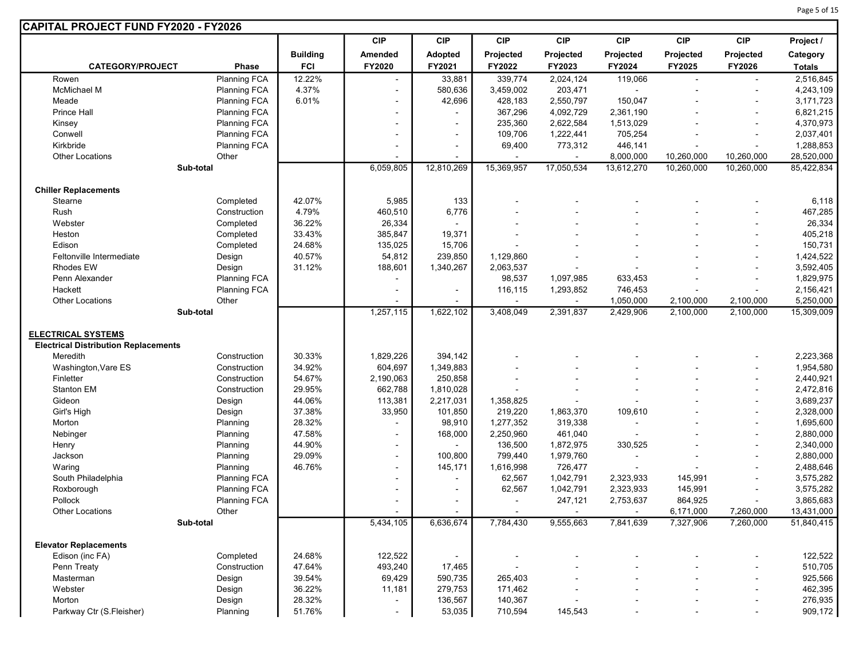| CAPITAL PROJECT FUND FY2020 - FY2026         |                     |                  |                          |                          |                          |                |                |            |                          |               |
|----------------------------------------------|---------------------|------------------|--------------------------|--------------------------|--------------------------|----------------|----------------|------------|--------------------------|---------------|
|                                              |                     |                  | <b>CIP</b>               | <b>CIP</b>               | <b>CIP</b>               | <b>CIP</b>     | <b>CIP</b>     | <b>CIP</b> | <b>CIP</b>               | Project /     |
|                                              |                     | <b>Building</b>  | Amended                  | Adopted                  | Projected                | Projected      | Projected      | Projected  | Projected                | Category      |
| <b>CATEGORY/PROJECT</b>                      | Phase               | <b>FCI</b>       | FY2020                   | FY2021                   | FY2022                   | FY2023         | FY2024         | FY2025     | FY2026                   | <b>Totals</b> |
| Rowen                                        | <b>Planning FCA</b> | 12.22%           | $\blacksquare$           | 33,881                   | 339,774                  | 2,024,124      | 119,066        |            |                          | 2,516,845     |
| McMichael M                                  | <b>Planning FCA</b> | 4.37%            | $\overline{a}$           | 580,636                  | 3,459,002                | 203,471        | $\blacksquare$ |            |                          | 4,243,109     |
| Meade                                        | <b>Planning FCA</b> | 6.01%            | $\overline{a}$           | 42,696                   | 428,183                  | 2,550,797      | 150,047        |            |                          | 3,171,723     |
| <b>Prince Hall</b>                           | <b>Planning FCA</b> |                  | $\overline{a}$           | $\blacksquare$           | 367,296                  | 4,092,729      | 2,361,190      |            | ÷                        | 6,821,215     |
| Kinsey                                       | <b>Planning FCA</b> |                  |                          | $\blacksquare$           | 235,360                  | 2,622,584      | 1,513,029      |            |                          | 4,370,973     |
| Conwell                                      | Planning FCA        |                  |                          | $\overline{\phantom{a}}$ | 109,706                  | 1,222,441      | 705,254        |            |                          | 2,037,401     |
| Kirkbride                                    | <b>Planning FCA</b> |                  | $\overline{a}$           | $\overline{\phantom{a}}$ | 69,400                   | 773,312        | 446,141        |            | ÷                        | 1,288,853     |
| Other Locations                              | Other               |                  |                          |                          | $\blacksquare$           |                | 8,000,000      | 10,260,000 | 10,260,000               | 28,520,000    |
|                                              | Sub-total           |                  | 6,059,805                | 12,810,269               | 15,369,957               | 17,050,534     | 13,612,270     | 10,260,000 | 10,260,000               | 85,422,834    |
|                                              |                     |                  |                          |                          |                          |                |                |            |                          |               |
| <b>Chiller Replacements</b>                  |                     |                  |                          |                          |                          |                |                |            |                          |               |
| Stearne                                      | Completed           | 42.07%           | 5,985                    | 133                      |                          |                |                |            |                          | 6,118         |
| Rush                                         | Construction        | 4.79%            | 460,510                  | 6,776                    |                          |                |                |            |                          | 467,285       |
| Webster                                      | Completed           | 36.22%           | 26,334                   |                          |                          |                |                |            |                          | 26,334        |
| Heston                                       | Completed           | 33.43%           | 385,847                  | 19,371                   |                          |                |                |            |                          | 405,218       |
| Edison                                       | Completed           | 24.68%           | 135,025                  | 15,706                   |                          |                |                |            |                          | 150,731       |
| Feltonville Intermediate<br><b>Rhodes EW</b> | Design              | 40.57%<br>31.12% | 54,812                   | 239,850                  | 1,129,860                |                |                |            | $\blacksquare$           | 1,424,522     |
|                                              | Design              |                  | 188,601                  | 1,340,267                | 2,063,537                |                |                |            |                          | 3,592,405     |
| Penn Alexander<br>Hackett                    | Planning FCA        |                  | -                        |                          | 98,537                   | 1,097,985      | 633,453        |            | $\overline{\phantom{a}}$ | 1,829,975     |
|                                              | Planning FCA        |                  | ٠                        | $\overline{\phantom{a}}$ | 116,115                  | 1,293,852      | 746,453        |            | $\blacksquare$           | 2,156,421     |
| <b>Other Locations</b>                       | Other               |                  | 1,257,115                | 1,622,102                |                          |                | 1,050,000      | 2,100,000  | 2,100,000                | 5,250,000     |
|                                              | Sub-total           |                  |                          |                          | 3,408,049                | 2,391,837      | 2,429,906      | 2,100,000  | 2,100,000                | 15,309,009    |
| <b>ELECTRICAL SYSTEMS</b>                    |                     |                  |                          |                          |                          |                |                |            |                          |               |
| <b>Electrical Distribution Replacements</b>  |                     |                  |                          |                          |                          |                |                |            |                          |               |
| Meredith                                     | Construction        | 30.33%           | 1,829,226                | 394,142                  |                          |                |                |            |                          | 2,223,368     |
| Washington, Vare ES                          | Construction        | 34.92%           | 604,697                  | 1,349,883                |                          |                |                |            | ÷,                       | 1,954,580     |
| Finletter                                    | Construction        | 54.67%           | 2,190,063                | 250,858                  |                          |                |                |            |                          | 2,440,921     |
| <b>Stanton EM</b>                            | Construction        | 29.95%           | 662,788                  | 1,810,028                |                          |                |                |            |                          | 2,472,816     |
| Gideon                                       | Design              | 44.06%           | 113,381                  | 2,217,031                | 1,358,825                | $\sim$         |                |            | $\blacksquare$           | 3,689,237     |
| Girl's High                                  | Design              | 37.38%           | 33,950                   | 101,850                  | 219,220                  | 1,863,370      | 109,610        |            | $\blacksquare$           | 2,328,000     |
| Morton                                       | Planning            | 28.32%           |                          | 98,910                   | 1,277,352                | 319,338        | ٠              |            |                          | 1,695,600     |
| Nebinger                                     | Planning            | 47.58%           | $\blacksquare$           | 168,000                  | 2,250,960                | 461,040        |                |            | ÷,                       | 2,880,000     |
| Henry                                        | Planning            | 44.90%           | $\overline{\phantom{a}}$ |                          | 136,500                  | 1,872,975      | 330,525        |            | $\blacksquare$           | 2,340,000     |
| Jackson                                      | Planning            | 29.09%           | $\overline{\phantom{a}}$ | 100,800                  | 799,440                  | 1,979,760      | $\blacksquare$ |            |                          | 2,880,000     |
| Waring                                       | Planning            | 46.76%           | $\overline{\phantom{a}}$ | 145,171                  | 1,616,998                | 726,477        |                |            | ÷                        | 2,488,646     |
| South Philadelphia                           | Planning FCA        |                  | ٠                        | $\blacksquare$           | 62,567                   | 1,042,791      | 2,323,933      | 145,991    | $\blacksquare$           | 3,575,282     |
| Roxborough                                   | <b>Planning FCA</b> |                  |                          | $\overline{\phantom{a}}$ | 62,567                   | 1,042,791      | 2,323,933      | 145,991    | $\overline{\phantom{a}}$ | 3,575,282     |
| Pollock                                      | <b>Planning FCA</b> |                  |                          |                          | $\sim$                   | 247,121        | 2,753,637      | 864,925    |                          | 3,865,683     |
| <b>Other Locations</b>                       | Other               |                  | $\blacksquare$           | $\blacksquare$           | $\sim$                   | $\blacksquare$ | $\blacksquare$ | 6,171,000  | 7,260,000                | 13,431,000    |
|                                              | Sub-total           |                  | 5,434,105                | 6,636,674                | 7,784,430                | 9,555,663      | 7,841,639      | 7,327,906  | 7,260,000                | 51,840,415    |
|                                              |                     |                  |                          |                          |                          |                |                |            |                          |               |
| <b>Elevator Replacements</b>                 |                     |                  |                          |                          |                          |                |                |            |                          |               |
| Edison (inc FA)                              | Completed           | 24.68%           | 122,522                  |                          | $\overline{\phantom{a}}$ |                |                |            |                          | 122,522       |
| Penn Treaty                                  | Construction        | 47.64%           | 493,240                  | 17,465                   |                          |                |                |            |                          | 510,705       |
| Masterman                                    | Design              | 39.54%           | 69,429                   | 590,735                  | 265,403                  |                |                |            |                          | 925,566       |
| Webster                                      | Design              | 36.22%           | 11,181                   | 279,753                  | 171,462                  |                |                |            |                          | 462,395       |
| Morton                                       | Design              | 28.32%<br>51.76% |                          | 136,567<br>53,035        | 140,367                  | 145,543        |                |            |                          | 276,935       |
| Parkway Ctr (S.Fleisher)                     | Planning            |                  |                          |                          | 710,594                  |                |                |            |                          | 909,172       |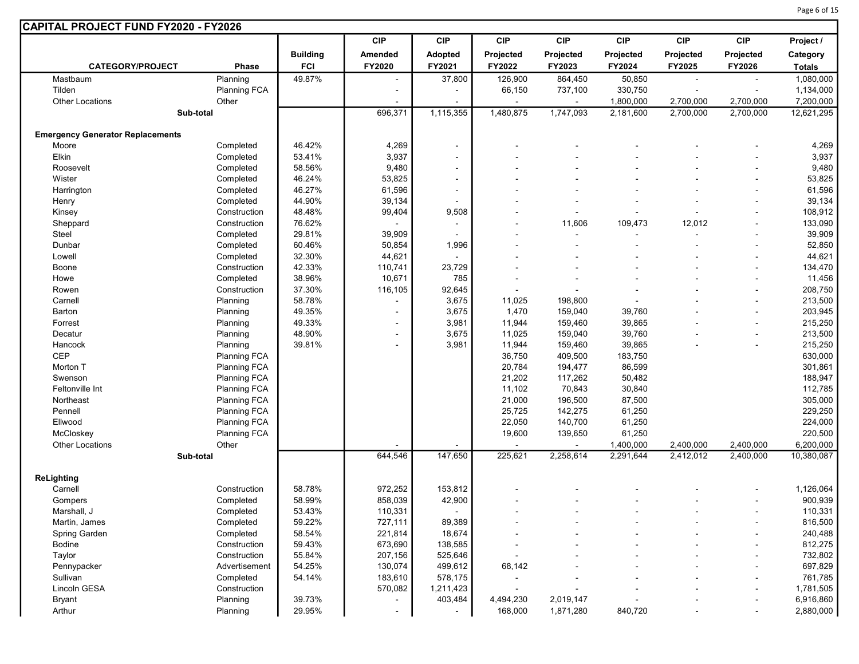|                                         |                     |                 | <b>CIP</b>               | <b>CIP</b>               | <b>CIP</b> | <b>CIP</b>     | <b>CIP</b>             | <b>CIP</b>             | <b>CIP</b>               | Project /               |
|-----------------------------------------|---------------------|-----------------|--------------------------|--------------------------|------------|----------------|------------------------|------------------------|--------------------------|-------------------------|
|                                         |                     | <b>Building</b> | Amended                  | <b>Adopted</b>           | Projected  | Projected      | Projected              | Projected              | Projected                | Category                |
| <b>CATEGORY/PROJECT</b>                 | Phase               | <b>FCI</b>      | FY2020                   | FY2021                   | FY2022     | FY2023         | FY2024                 | FY2025                 | FY2026                   | <b>Totals</b>           |
| Mastbaum                                | Planning            | 49.87%          | $\blacksquare$           | 37,800                   | 126,900    | 864,450        | 50,850                 | $\blacksquare$         | $\sim$                   | 1,080,000               |
| Tilden                                  | <b>Planning FCA</b> |                 | $\blacksquare$           |                          | 66,150     | 737,100        | 330,750                |                        |                          | 1,134,000               |
| <b>Other Locations</b>                  | Other               |                 |                          |                          |            |                | 1,800,000              | 2,700,000              | 2,700,000                | 7,200,000               |
| Sub-total                               |                     |                 | 696,371                  | 1,115,355                | 1,480,875  | 1,747,093      | 2,181,600              | 2,700,000              | 2,700,000                | 12,621,295              |
| <b>Emergency Generator Replacements</b> |                     |                 |                          |                          |            |                |                        |                        |                          |                         |
| Moore                                   | Completed           | 46.42%          | 4,269                    | $\blacksquare$           |            |                |                        |                        |                          | 4,269                   |
| Elkin                                   | Completed           | 53.41%          | 3,937                    |                          |            |                |                        |                        |                          | 3,937                   |
| Roosevelt                               | Completed           | 58.56%          | 9,480                    | $\overline{\phantom{a}}$ |            |                |                        |                        |                          | 9,480                   |
| Wister                                  | Completed           | 46.24%          | 53,825                   |                          |            |                |                        |                        |                          | 53,825                  |
| Harrington                              | Completed           | 46.27%          | 61,596                   |                          |            |                |                        |                        |                          | 61,596                  |
| Henry                                   | Completed           | 44.90%          | 39,134                   |                          |            |                |                        |                        |                          | 39,134                  |
| Kinsey                                  | Construction        | 48.48%          | 99,404                   | 9,508                    |            |                |                        |                        |                          | 108,912                 |
| Sheppard                                | Construction        | 76.62%          | $\mathbf{r}$             |                          |            | 11,606         | 109,473                | 12,012                 | $\overline{\phantom{a}}$ | 133,090                 |
| Steel                                   | Completed           | 29.81%          | 39,909                   |                          |            | $\overline{a}$ |                        |                        |                          | 39,909                  |
| Dunbar                                  | Completed           | 60.46%          | 50,854                   | 1,996                    |            |                |                        |                        |                          | 52,850                  |
| Lowell                                  | Completed           | 32.30%          | 44,621                   |                          |            |                |                        |                        |                          | 44,621                  |
| Boone                                   | Construction        | 42.33%          | 110,741                  | 23,729                   |            |                |                        |                        | $\overline{a}$           | 134,470                 |
| Howe                                    | Completed           | 38.96%          | 10,671                   | 785                      |            |                |                        |                        | $\overline{\phantom{a}}$ | 11,456                  |
| Rowen                                   | Construction        | 37.30%          | 116,105                  | 92,645                   |            |                |                        |                        |                          | 208,750                 |
| Carnell                                 | Planning            | 58.78%          | $\overline{a}$           | 3,675                    | 11,025     | 198,800        |                        |                        |                          | 213,500                 |
| Barton                                  | Planning            | 49.35%          | $\blacksquare$           | 3,675                    | 1,470      | 159,040        | 39,760                 |                        | $\overline{\phantom{a}}$ | 203,945                 |
| Forrest                                 | Planning            | 49.33%          | $\blacksquare$           | 3,981                    | 11,944     | 159,460        | 39,865                 |                        |                          | 215,250                 |
| Decatur                                 | Planning            | 48.90%          | $\blacksquare$           | 3,675                    | 11,025     | 159,040        | 39,760                 |                        | $\overline{a}$           | 213,500                 |
| Hancock                                 | Planning            | 39.81%          |                          | 3,981                    | 11,944     | 159,460        | 39,865                 |                        | $\overline{\phantom{a}}$ | 215,250                 |
| <b>CEP</b>                              | <b>Planning FCA</b> |                 |                          |                          | 36,750     | 409,500        | 183,750                |                        |                          | 630,000                 |
| Morton T                                | <b>Planning FCA</b> |                 |                          |                          | 20,784     | 194,477        | 86,599                 |                        |                          | 301,861                 |
| Swenson                                 | Planning FCA        |                 |                          |                          | 21,202     | 117,262        | 50,482                 |                        |                          | 188,947                 |
| Feltonville Int                         | Planning FCA        |                 |                          |                          | 11,102     | 70,843         | 30,840                 |                        |                          | 112,785                 |
| Northeast                               | <b>Planning FCA</b> |                 |                          |                          | 21,000     | 196,500        | 87,500                 |                        |                          | 305,000                 |
| Pennell                                 | <b>Planning FCA</b> |                 |                          |                          | 25,725     | 142,275        | 61,250                 |                        |                          | 229,250                 |
| Ellwood                                 | <b>Planning FCA</b> |                 |                          |                          | 22,050     | 140,700        | 61,250                 |                        |                          | 224,000                 |
| McCloskey                               | <b>Planning FCA</b> |                 |                          |                          |            |                |                        |                        |                          |                         |
| Other Locations                         |                     |                 |                          |                          | 19,600     | 139,650        | 61,250                 |                        | 2,400,000                | 220,500                 |
|                                         | Other<br>Sub-total  |                 | 644,546                  | 147,650                  | 225,621    | 2,258,614      | 1,400,000<br>2,291,644 | 2,400,000<br>2.412.012 | 2,400,000                | 6,200,000<br>10,380,087 |
|                                         |                     |                 |                          |                          |            |                |                        |                        |                          |                         |
| <b>ReLighting</b>                       |                     |                 |                          |                          |            |                |                        |                        |                          |                         |
| Carnell                                 | Construction        | 58.78%          | 972,252                  | 153,812                  |            |                |                        |                        |                          | 1,126,064               |
| Gompers                                 | Completed           | 58.99%          | 858,039                  | 42,900                   |            |                |                        |                        |                          | 900,939                 |
| Marshall, J                             | Completed           | 53.43%          | 110,331                  |                          |            |                |                        |                        |                          | 110,331                 |
| Martin, James                           | Completed           | 59.22%          | 727,111                  | 89,389                   |            |                |                        |                        | $\overline{a}$           | 816,500                 |
| Spring Garden                           | Completed           | 58.54%          | 221,814                  | 18,674                   |            |                |                        |                        | $\overline{a}$           | 240,488                 |
| Bodine                                  | Construction        | 59.43%          | 673,690                  | 138,585                  |            |                |                        |                        |                          | 812,275                 |
| Taylor                                  | Construction        | 55.84%          | 207,156                  | 525,646                  |            |                |                        |                        | $\overline{a}$           | 732,802                 |
| Pennypacker                             | Advertisement       | 54.25%          | 130,074                  | 499,612                  | 68,142     |                |                        |                        | $\overline{a}$           | 697,829                 |
| Sullivan                                | Completed           | 54.14%          | 183,610                  | 578,175                  |            |                |                        |                        | $\overline{a}$           | 761,785                 |
| Lincoln GESA                            | Construction        |                 | 570,082                  | 1,211,423                |            |                |                        |                        | $\overline{a}$           | 1,781,505               |
| <b>Bryant</b>                           | Planning            | 39.73%          | $\blacksquare$           | 403,484                  | 4,494,230  | 2,019,147      |                        |                        | $\overline{\phantom{a}}$ | 6,916,860               |
| Arthur                                  | Planning            | 29.95%          | $\overline{\phantom{a}}$ |                          | 168,000    | 1,871,280      | 840,720                |                        | $\overline{\phantom{a}}$ | 2,880,000               |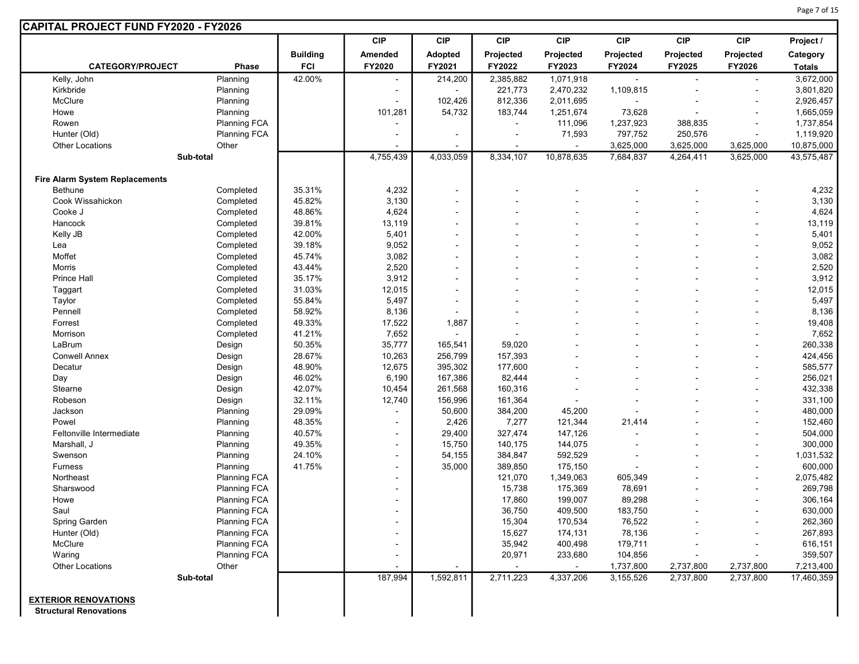|                                       |                     |                 | <b>CIP</b>               | <b>CIP</b>               | <b>CIP</b> | <b>CIP</b> | <b>CIP</b> | <b>CIP</b> | <b>CIP</b>               | Project /     |
|---------------------------------------|---------------------|-----------------|--------------------------|--------------------------|------------|------------|------------|------------|--------------------------|---------------|
|                                       |                     | <b>Building</b> | Amended                  | Adopted                  | Projected  | Projected  | Projected  | Projected  | Projected                | Category      |
| <b>CATEGORY/PROJECT</b>               | Phase               | <b>FCI</b>      | FY2020                   | FY2021                   | FY2022     | FY2023     | FY2024     | FY2025     | FY2026                   | <b>Totals</b> |
| Kelly, John                           | Planning            | 42.00%          |                          | 214,200                  | 2,385,882  | 1,071,918  |            |            | $\sim$                   | 3,672,000     |
| Kirkbride                             | Planning            |                 |                          | $\blacksquare$           | 221,773    | 2,470,232  | 1,109,815  |            |                          | 3,801,820     |
| McClure                               | Planning            |                 |                          | 102,426                  | 812,336    | 2,011,695  |            |            | $\overline{\phantom{a}}$ | 2,926,457     |
| Howe                                  | Planning            |                 | 101,281                  | 54,732                   | 183,744    | 1,251,674  | 73,628     |            |                          | 1,665,059     |
| Rowen                                 | <b>Planning FCA</b> |                 |                          |                          |            | 111,096    | 1,237,923  | 388,835    | $\blacksquare$           | 1,737,854     |
| Hunter (Old)                          | <b>Planning FCA</b> |                 | $\blacksquare$           | $\blacksquare$           | $\sim$     | 71,593     | 797,752    | 250,576    | $\blacksquare$           | 1,119,920     |
| <b>Other Locations</b>                | Other               |                 |                          |                          |            |            | 3,625,000  | 3,625,000  | 3,625,000                | 10,875,000    |
|                                       | Sub-total           |                 | 4,755,439                | 4,033,059                | 8,334,107  | 10,878,635 | 7,684,837  | 4,264,411  | 3,625,000                | 43,575,487    |
| <b>Fire Alarm System Replacements</b> |                     |                 |                          |                          |            |            |            |            |                          |               |
| <b>Bethune</b>                        | Completed           | 35.31%          | 4,232                    | $\overline{a}$           |            |            |            |            |                          | 4,232         |
| Cook Wissahickon                      | Completed           | 45.82%          | 3,130                    | $\blacksquare$           |            |            |            |            |                          | 3,130         |
| Cooke J                               | Completed           | 48.86%          | 4,624                    | $\blacksquare$           |            |            |            |            |                          | 4,624         |
| Hancock                               | Completed           | 39.81%          | 13,119                   | $\blacksquare$           |            |            |            |            |                          | 13,119        |
| Kelly JB                              | Completed           | 42.00%          | 5,401                    | $\blacksquare$           |            |            |            |            |                          | 5,401         |
| Lea                                   | Completed           | 39.18%          | 9,052                    | $\blacksquare$           |            |            |            |            |                          | 9,052         |
| Moffet                                | Completed           | 45.74%          | 3,082                    | $\blacksquare$           |            |            |            |            |                          | 3,082         |
| Morris                                | Completed           | 43.44%          | 2,520                    | $\blacksquare$           |            |            |            |            |                          | 2,520         |
| Prince Hall                           | Completed           | 35.17%          | 3,912                    | $\blacksquare$           |            |            |            |            |                          | 3,912         |
| Taggart                               | Completed           | 31.03%          | 12,015                   | $\blacksquare$           |            |            |            |            |                          | 12,015        |
| Taylor                                | Completed           | 55.84%          | 5,497                    | $\overline{\phantom{a}}$ |            |            |            |            |                          | 5,497         |
| Pennell                               | Completed           | 58.92%          | 8,136                    | $\blacksquare$           |            |            |            |            |                          | 8,136         |
| Forrest                               | Completed           | 49.33%          | 17,522                   | 1,887                    |            |            |            |            |                          | 19,408        |
| Morrison                              | Completed           | 41.21%          | 7,652                    | $\blacksquare$           |            |            |            |            |                          | 7,652         |
| LaBrum                                | Design              | 50.35%          | 35,777                   | 165,541                  | 59,020     |            |            |            |                          | 260,338       |
| <b>Conwell Annex</b>                  | Design              | 28.67%          | 10,263                   | 256,799                  | 157,393    |            |            |            |                          | 424,456       |
| Decatur                               | Design              | 48.90%          | 12,675                   | 395,302                  | 177,600    |            |            |            |                          | 585,577       |
| Day                                   | Design              | 46.02%          | 6,190                    | 167,386                  | 82,444     |            |            |            |                          | 256,021       |
| Stearne                               | Design              | 42.07%          | 10,454                   | 261,568                  | 160,316    |            |            |            |                          | 432,338       |
| Robeson                               | Design              | 32.11%          | 12,740                   | 156,996                  | 161,364    |            |            |            |                          | 331,100       |
| Jackson                               | Planning            | 29.09%          |                          | 50,600                   | 384,200    | 45,200     |            |            |                          | 480,000       |
| Powel                                 | Planning            | 48.35%          |                          | 2,426                    | 7,277      | 121,344    | 21,414     |            |                          | 152,460       |
| Feltonville Intermediate              | Planning            | 40.57%          | $\overline{\phantom{a}}$ | 29,400                   | 327,474    | 147,126    |            |            |                          | 504,000       |
| Marshall, J                           | Planning            | 49.35%          | $\overline{a}$           | 15,750                   | 140,175    | 144,075    |            |            |                          | 300,000       |
| Swenson                               | Planning            | 24.10%          | $\overline{a}$           | 54,155                   | 384,847    | 592,529    |            |            |                          | 1,031,532     |
| <b>Furness</b>                        | Planning            | 41.75%          | $\overline{\phantom{a}}$ | 35,000                   | 389,850    | 175,150    |            |            | $\overline{\phantom{a}}$ | 600,000       |
| Northeast                             | <b>Planning FCA</b> |                 | $\overline{\phantom{a}}$ |                          | 121,070    | 1,349,063  | 605,349    |            |                          | 2,075,482     |
| Sharswood                             | <b>Planning FCA</b> |                 |                          |                          | 15,738     | 175,369    | 78,691     |            |                          | 269,798       |
| Howe                                  | <b>Planning FCA</b> |                 | $\overline{a}$           |                          | 17,860     | 199,007    | 89,298     |            |                          | 306,164       |
| Saul                                  | <b>Planning FCA</b> |                 | $\overline{\phantom{a}}$ |                          | 36,750     | 409,500    | 183,750    |            |                          | 630,000       |
| Spring Garden                         | <b>Planning FCA</b> |                 |                          |                          | 15,304     | 170,534    | 76,522     |            |                          | 262,360       |
| Hunter (Old)                          | <b>Planning FCA</b> |                 |                          |                          | 15,627     | 174,131    | 78,136     |            |                          | 267,893       |
| McClure                               | <b>Planning FCA</b> |                 | $\overline{\phantom{a}}$ |                          | 35,942     | 400,498    | 179,711    |            |                          | 616,151       |
| Waring                                | <b>Planning FCA</b> |                 |                          |                          | 20,971     | 233,680    | 104,856    |            |                          | 359,507       |
| Other Locations                       | Other               |                 |                          |                          |            |            | 1,737,800  | 2,737,800  | 2,737,800                | 7,213,400     |
|                                       | Sub-total           |                 | 187,994                  | 1,592,811                | 2,711,223  | 4,337,206  | 3,155,526  | 2,737,800  | 2,737,800                | 17,460,359    |

Page 7 of 15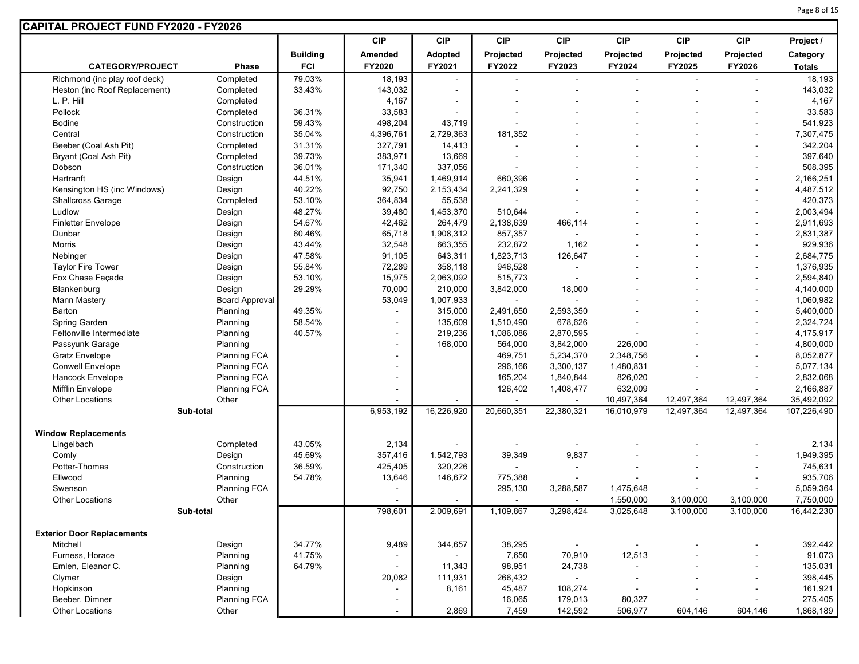| <b>CAPITAL PROJECT FUND FY2020 - FY2026</b> |                                            |                 |                                  |            |                          |                              |                          |            |                                  |               |
|---------------------------------------------|--------------------------------------------|-----------------|----------------------------------|------------|--------------------------|------------------------------|--------------------------|------------|----------------------------------|---------------|
|                                             |                                            |                 | <b>CIP</b>                       | <b>CIP</b> | <b>CIP</b>               | <b>CIP</b>                   | <b>CIP</b>               | <b>CIP</b> | <b>CIP</b>                       | Project /     |
|                                             |                                            | <b>Building</b> | Amended                          | Adopted    | Projected                | Projected                    | Projected                | Projected  | Projected                        | Category      |
| <b>CATEGORY/PROJECT</b>                     | Phase                                      | <b>FCI</b>      | FY2020                           | FY2021     | FY2022                   | FY2023                       | FY2024                   | FY2025     | FY2026                           | <b>Totals</b> |
| Richmond (inc play roof deck)               | Completed                                  | 79.03%          | 18,193                           |            | $\overline{\phantom{a}}$ |                              |                          |            |                                  | 18,193        |
| Heston (inc Roof Replacement)               | Completed                                  | 33.43%          | 143,032                          |            |                          |                              |                          |            |                                  | 143,032       |
| L. P. Hill                                  | Completed                                  |                 | 4,167                            |            |                          |                              |                          |            |                                  | 4,167         |
| Pollock                                     | Completed                                  | 36.31%          | 33,583                           |            |                          |                              |                          |            |                                  | 33,583        |
| <b>Bodine</b>                               | Construction                               | 59.43%          | 498,204                          | 43,719     |                          |                              |                          |            |                                  | 541,923       |
| Central                                     | Construction                               | 35.04%          | 4,396,761                        | 2,729,363  | 181,352                  |                              |                          |            | ÷,                               | 7,307,475     |
| Beeber (Coal Ash Pit)                       | Completed                                  | 31.31%          | 327,791                          | 14,413     |                          |                              |                          |            | $\blacksquare$                   | 342,204       |
| Bryant (Coal Ash Pit)                       | Completed                                  | 39.73%          | 383,971                          | 13,669     |                          |                              |                          |            |                                  | 397,640       |
| Dobson                                      | Construction                               | 36.01%          | 171,340                          | 337,056    |                          |                              |                          |            |                                  | 508,395       |
| Hartranft                                   | Design                                     | 44.51%          | 35,941                           | 1,469,914  | 660,396                  |                              |                          |            | $\blacksquare$                   | 2,166,251     |
| Kensington HS (inc Windows)                 | Design                                     | 40.22%          | 92,750                           | 2,153,434  | 2,241,329                |                              |                          |            |                                  | 4,487,512     |
| <b>Shallcross Garage</b>                    | Completed                                  | 53.10%          | 364,834                          | 55,538     |                          |                              |                          |            | $\blacksquare$                   | 420,373       |
| Ludlow                                      | Design                                     | 48.27%          | 39,480                           | 1,453,370  | 510,644                  | $\blacksquare$               |                          |            | $\blacksquare$                   | 2,003,494     |
| <b>Finletter Envelope</b>                   | Design                                     | 54.67%          | 42,462                           | 264,479    | 2,138,639                | 466,114                      |                          |            | $\blacksquare$                   | 2,911,693     |
| Dunbar                                      | Design                                     | 60.46%          | 65,718                           | 1,908,312  | 857,357                  | $\sim$                       |                          |            | $\blacksquare$                   | 2,831,387     |
| <b>Morris</b>                               |                                            | 43.44%          | 32,548                           | 663,355    | 232,872                  | 1,162                        |                          |            |                                  | 929,936       |
| Nebinger                                    | Design                                     | 47.58%          | 91,105                           | 643,311    | 1,823,713                | 126,647                      |                          |            | $\blacksquare$<br>$\blacksquare$ | 2,684,775     |
| <b>Taylor Fire Tower</b>                    | Design                                     | 55.84%          | 72,289                           | 358,118    | 946,528                  | $\blacksquare$               |                          |            |                                  | 1,376,935     |
| Fox Chase Façade                            | Design                                     | 53.10%          | 15,975                           | 2,063,092  | 515,773                  | $\blacksquare$               |                          |            | $\overline{\phantom{a}}$         | 2,594,840     |
| Blankenburg                                 | Design<br>Design                           | 29.29%          | 70,000                           | 210,000    | 3,842,000                | 18,000                       |                          |            | $\blacksquare$                   | 4,140,000     |
| Mann Mastery                                | <b>Board Approval</b>                      |                 | 53,049                           | 1,007,933  |                          |                              |                          |            |                                  | 1,060,982     |
| Barton                                      | Planning                                   | 49.35%          |                                  | 315,000    | 2,491,650                | 2,593,350                    |                          |            | $\blacksquare$                   | 5,400,000     |
| Spring Garden                               |                                            | 58.54%          |                                  | 135,609    | 1,510,490                | 678,626                      |                          |            | $\sim$                           | 2,324,724     |
| Feltonville Intermediate                    | Planning<br>Planning                       | 40.57%          | $\blacksquare$<br>$\blacksquare$ | 219,236    | 1,086,086                | 2,870,595                    |                          |            |                                  | 4,175,917     |
| Passyunk Garage                             | Planning                                   |                 |                                  | 168,000    | 564,000                  | 3,842,000                    | 226,000                  |            | $\blacksquare$                   | 4,800,000     |
| <b>Gratz Envelope</b>                       | <b>Planning FCA</b>                        |                 |                                  |            | 469,751                  | 5,234,370                    | 2,348,756                |            |                                  | 8,052,877     |
| <b>Conwell Envelope</b>                     |                                            |                 |                                  |            | 296,166                  | 3,300,137                    | 1,480,831                |            | $\blacksquare$<br>$\blacksquare$ | 5,077,134     |
| Hancock Envelope                            | <b>Planning FCA</b><br><b>Planning FCA</b> |                 |                                  |            | 165,204                  | 1,840,844                    | 826,020                  |            |                                  | 2,832,068     |
| Mifflin Envelope                            |                                            |                 |                                  |            | 126,402                  | 1,408,477                    | 632,009                  |            | $\sim$                           | 2,166,887     |
|                                             | <b>Planning FCA</b><br>Other               |                 |                                  |            |                          |                              |                          |            |                                  |               |
| <b>Other Locations</b>                      |                                            |                 |                                  |            | $\blacksquare$           | $\blacksquare$<br>22,380,321 | 10,497,364               | 12,497,364 | 12,497,364                       | 35,492,092    |
|                                             | Sub-total                                  |                 | 6,953,192                        | 16,226,920 | 20,660,351               |                              | 16,010,979               | 12,497,364 | 12,497,364                       | 107,226,490   |
| <b>Window Replacements</b>                  |                                            |                 |                                  |            |                          |                              |                          |            |                                  |               |
| Lingelbach                                  | Completed                                  | 43.05%          | 2,134                            |            |                          |                              |                          |            |                                  | 2,134         |
| Comly                                       | Design                                     | 45.69%          | 357,416                          | 1,542,793  | 39,349                   | 9,837                        |                          |            |                                  | 1,949,395     |
| Potter-Thomas                               | Construction                               | 36.59%          | 425,405                          | 320,226    |                          |                              |                          |            |                                  | 745,631       |
| Ellwood                                     | Planning                                   | 54.78%          | 13,646                           | 146,672    | 775,388                  |                              |                          |            |                                  | 935,706       |
| Swenson                                     | <b>Planning FCA</b>                        |                 |                                  |            | 295,130                  | 3,288,587                    | 1,475,648                |            |                                  | 5,059,364     |
| <b>Other Locations</b>                      | Other                                      |                 |                                  |            | $\sim$                   |                              | 1,550,000                | 3,100,000  | 3,100,000                        | 7,750,000     |
|                                             | Sub-total                                  |                 | 798,601                          | 2,009,691  | 1,109,867                | 3,298,424                    | 3,025,648                | 3,100,000  | 3,100,000                        | 16,442,230    |
|                                             |                                            |                 |                                  |            |                          |                              |                          |            |                                  |               |
| <b>Exterior Door Replacements</b>           |                                            |                 |                                  |            |                          |                              |                          |            |                                  |               |
| Mitchell                                    | Design                                     | 34.77%          | 9,489                            | 344,657    | 38,295                   | $\sim$                       | $\blacksquare$           |            |                                  | 392,442       |
| Furness, Horace                             | Planning                                   | 41.75%          |                                  |            | 7,650                    | 70,910                       | 12,513                   |            |                                  | 91,073        |
| Emlen, Eleanor C.                           | Planning                                   | 64.79%          |                                  | 11,343     | 98,951                   | 24,738                       | $\overline{\phantom{0}}$ |            |                                  | 135,031       |
| Clymer                                      | Design                                     |                 | 20,082                           | 111,931    | 266,432                  | $\sim$                       | ۰                        |            | $\overline{\phantom{a}}$         | 398,445       |
| Hopkinson                                   | Planning                                   |                 | $\blacksquare$                   | 8,161      | 45,487                   | 108,274                      | $\blacksquare$           |            |                                  | 161,921       |
| Beeber, Dimner                              | Planning FCA                               |                 |                                  |            | 16,065                   | 179,013                      | 80,327                   |            |                                  | 275,405       |
| <b>Other Locations</b>                      | Other                                      |                 | $\blacksquare$                   | 2,869      | 7,459                    | 142,592                      | 506,977                  | 604,146    | 604,146                          | 1,868,189     |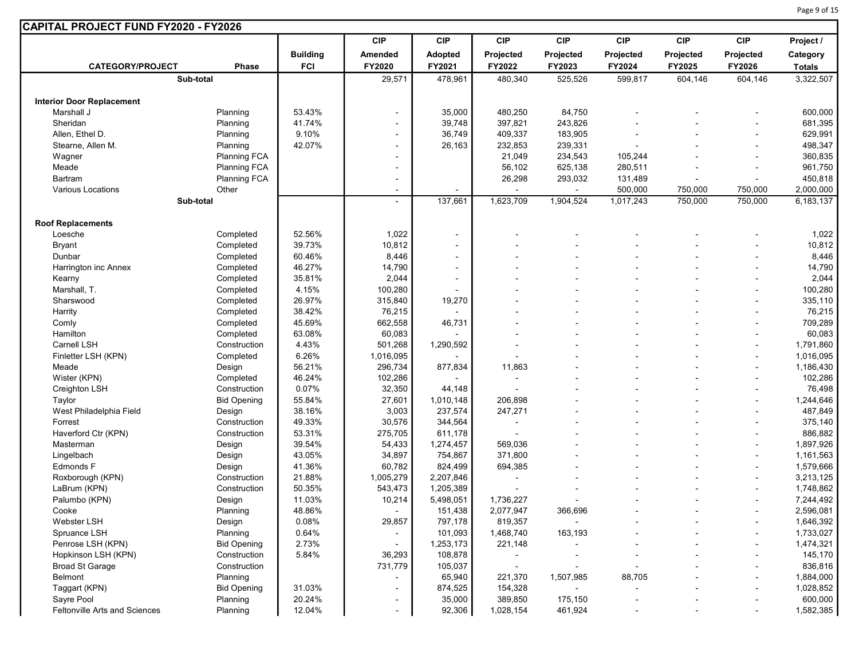| CAPITAL PROJECT FUND FY2020 - FY2026 |                     |                 |                          |                          |                |                |            |            |                          |               |
|--------------------------------------|---------------------|-----------------|--------------------------|--------------------------|----------------|----------------|------------|------------|--------------------------|---------------|
|                                      |                     |                 | <b>CIP</b>               | <b>CIP</b>               | <b>CIP</b>     | <b>CIP</b>     | <b>CIP</b> | <b>CIP</b> | <b>CIP</b>               | Project /     |
|                                      |                     | <b>Building</b> | Amended                  | Adopted                  | Projected      | Projected      | Projected  | Projected  | Projected                | Category      |
| <b>CATEGORY/PROJECT</b>              | <b>Phase</b>        | <b>FCI</b>      | FY2020                   | FY2021                   | FY2022         | FY2023         | FY2024     | FY2025     | FY2026                   | <b>Totals</b> |
|                                      | Sub-total           |                 | 29,571                   | 478,961                  | 480,340        | 525,526        | 599,817    | 604,146    | 604,146                  | 3,322,507     |
|                                      |                     |                 |                          |                          |                |                |            |            |                          |               |
| <b>Interior Door Replacement</b>     |                     |                 |                          |                          |                |                |            |            |                          |               |
| Marshall J                           | Planning            | 53.43%          | $\blacksquare$           | 35,000                   | 480,250        | 84,750         |            |            |                          | 600,000       |
| Sheridan                             | Planning            | 41.74%          |                          | 39,748                   | 397,821        | 243,826        |            |            |                          | 681,395       |
| Allen. Ethel D.                      | Planning            | 9.10%           |                          | 36,749                   | 409,337        | 183,905        |            |            |                          | 629,991       |
| Stearne, Allen M.                    | Planning            | 42.07%          | $\overline{\phantom{0}}$ | 26,163                   | 232,853        | 239,331        |            |            |                          | 498,347       |
| Wagner                               | <b>Planning FCA</b> |                 |                          |                          | 21,049         | 234,543        | 105,244    |            |                          | 360,835       |
| Meade                                | <b>Planning FCA</b> |                 |                          |                          | 56,102         | 625,138        | 280,511    |            |                          | 961,750       |
| Bartram                              | <b>Planning FCA</b> |                 |                          |                          | 26,298         | 293,032        | 131,489    |            |                          | 450,818       |
| Various Locations                    | Other               |                 |                          |                          |                |                | 500,000    | 750,000    | 750,000                  | 2,000,000     |
|                                      | Sub-total           |                 | $\blacksquare$           | 137,661                  | 1,623,709      | 1,904,524      | 1,017,243  | 750,000    | 750,000                  | 6,183,137     |
| <b>Roof Replacements</b>             |                     |                 |                          |                          |                |                |            |            |                          |               |
| Loesche                              | Completed           | 52.56%          | 1,022                    | $\overline{\phantom{a}}$ |                |                |            |            |                          | 1,022         |
| <b>Bryant</b>                        | Completed           | 39.73%          | 10,812                   | $\overline{\phantom{a}}$ |                |                |            |            |                          | 10,812        |
| Dunbar                               | Completed           | 60.46%          | 8,446                    | $\overline{\phantom{a}}$ |                |                |            |            |                          | 8,446         |
| Harrington inc Annex                 | Completed           | 46.27%          | 14,790                   | $\overline{\phantom{a}}$ |                |                |            |            |                          | 14,790        |
| Kearny                               | Completed           | 35.81%          | 2,044                    | $\blacksquare$           |                |                |            |            |                          | 2,044         |
| Marshall, T.                         | Completed           | 4.15%           | 100,280                  |                          |                |                |            |            |                          | 100,280       |
| Sharswood                            | Completed           | 26.97%          | 315,840                  | 19,270                   |                |                |            |            | $\overline{\phantom{a}}$ | 335,110       |
| Harrity                              | Completed           | 38.42%          | 76,215                   |                          |                |                |            |            |                          | 76,215        |
| Comly                                | Completed           | 45.69%          | 662,558                  | 46,731                   |                |                |            |            |                          | 709,289       |
| Hamilton                             | Completed           | 63.08%          | 60,083                   |                          |                |                |            |            | $\overline{\phantom{a}}$ | 60,083        |
| Carnell LSH                          | Construction        | 4.43%           | 501,268                  | 1,290,592                |                |                |            |            |                          | 1,791,860     |
| Finletter LSH (KPN)                  | Completed           | 6.26%           | 1,016,095                |                          |                |                |            |            |                          | 1,016,095     |
| Meade                                | Design              | 56.21%          | 296,734                  | 877,834                  | 11,863         |                |            |            |                          | 1,186,430     |
| Wister (KPN)                         | Completed           | 46.24%          | 102,286                  |                          |                |                |            |            |                          | 102,286       |
| Creighton LSH                        | Construction        | 0.07%           | 32,350                   | 44,148                   |                |                |            |            |                          | 76,498        |
| Taylor                               | <b>Bid Opening</b>  | 55.84%          | 27,601                   | 1,010,148                | 206,898        |                |            |            |                          | 1,244,646     |
| West Philadelphia Field              | Design              | 38.16%          | 3,003                    | 237,574                  | 247,271        |                |            |            |                          | 487,849       |
| Forrest                              | Construction        | 49.33%          | 30,576                   | 344,564                  |                |                |            |            |                          | 375,140       |
| Haverford Ctr (KPN)                  | Construction        | 53.31%          | 275,705                  | 611,178                  |                |                |            |            |                          | 886,882       |
| Masterman                            | Design              | 39.54%          | 54,433                   | 1,274,457                | 569,036        |                |            |            | $\sim$                   | 1,897,926     |
| Lingelbach                           | Design              | 43.05%          | 34,897                   | 754,867                  | 371,800        |                |            |            |                          | 1,161,563     |
| Edmonds F                            | Design              | 41.36%          | 60,782                   | 824,499                  | 694,385        |                |            |            |                          | 1,579,666     |
| Roxborough (KPN)                     | Construction        | 21.88%          | 1,005,279                | 2,207,846                |                |                |            |            |                          | 3,213,125     |
| LaBrum (KPN)                         | Construction        | 50.35%          | 543,473                  | 1,205,389                |                |                |            |            |                          | 1,748,862     |
| Palumbo (KPN)                        | Design              | 11.03%          | 10,214                   | 5,498,051                | 1,736,227      |                |            |            |                          | 7,244,492     |
| Cooke                                | Planning            | 48.86%          | $\blacksquare$           | 151,438                  | 2,077,947      | 366,696        |            |            |                          | 2,596,081     |
| Webster LSH                          | Design              | 0.08%           | 29,857                   | 797,178                  | 819,357        |                |            |            |                          | 1,646,392     |
| Spruance LSH                         | Planning            | 0.64%           |                          | 101,093                  | 1,468,740      | 163,193        |            |            |                          | 1,733,027     |
| Penrose LSH (KPN)                    | <b>Bid Opening</b>  | 2.73%           | ۰                        | 1,253,173                | 221,148        |                |            |            |                          | 1,474,321     |
| Hopkinson LSH (KPN)                  | Construction        | 5.84%           | 36,293                   | 108,878                  | $\blacksquare$ | $\blacksquare$ |            |            | $\overline{\phantom{a}}$ | 145,170       |
| Broad St Garage                      | Construction        |                 | 731,779                  | 105,037                  |                |                |            |            |                          | 836,816       |
| Belmont                              | Planning            |                 |                          | 65,940                   | 221,370        | 1,507,985      | 88,705     |            |                          | 1,884,000     |
| Taggart (KPN)                        | <b>Bid Opening</b>  | 31.03%          | $\overline{\phantom{a}}$ | 874,525                  | 154,328        | $\sim$         |            |            |                          | 1,028,852     |
| Sayre Pool                           | Planning            | 20.24%          | $\blacksquare$           | 35,000                   | 389,850        | 175,150        |            |            |                          | 600,000       |
| Feltonville Arts and Sciences        | Planning            | 12.04%          | $\overline{\phantom{0}}$ | 92,306                   | 1,028,154      | 461,924        |            |            |                          | 1,582,385     |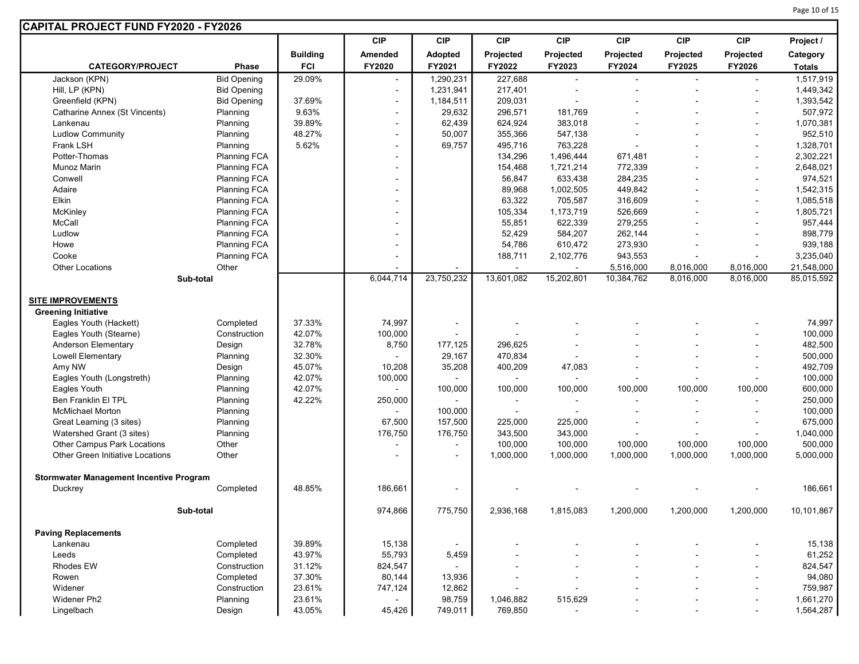| <b>CIP</b><br><b>CIP</b><br><b>CIP</b><br><b>CIP</b><br><b>CIP</b><br><b>CIP</b><br><b>CIP</b><br>Project /<br><b>Building</b><br>Amended<br>Projected<br>Projected<br>Projected<br>Projected<br>Adopted<br>Projected<br>Category<br><b>FCI</b><br>FY2020<br>FY2021<br>FY2023<br>FY2024<br><b>CATEGORY/PROJECT</b><br>Phase<br>FY2022<br>FY2025<br><b>FY2026</b><br><b>Totals</b><br>Jackson (KPN)<br><b>Bid Opening</b><br>29.09%<br>227,688<br>1,290,231<br>1,517,919<br>$\blacksquare$<br>$\blacksquare$<br>Hill, LP (KPN)<br><b>Bid Opening</b><br>1,231,941<br>217,401<br>1,449,342<br>۰<br>37.69%<br>Greenfield (KPN)<br><b>Bid Opening</b><br>1,184,511<br>209,031<br>1,393,542<br>$\blacksquare$<br>$\blacksquare$<br>9.63%<br>Catharine Annex (St Vincents)<br>Planning<br>29,632<br>296,571<br>181,769<br>507,972<br>$\blacksquare$<br>39.89%<br>62,439<br>Planning<br>624,924<br>383,018<br>1,070,381<br>Lankenau<br>$\blacksquare$<br><b>Ludlow Community</b><br>48.27%<br>50,007<br>355,366<br>547,138<br>952,510<br>Planning<br>$\blacksquare$<br>5.62%<br>495,716<br>763,228<br>Frank LSH<br>Planning<br>69,757<br>1,328,701<br>$\blacksquare$<br>$\blacksquare$<br>Potter-Thomas<br>Planning FCA<br>134,296<br>1,496,444<br>671,481<br>2,302,221<br>Munoz Marin<br>Planning FCA<br>154,468<br>1,721,214<br>772,339<br>2,648,021<br>۰<br>۰<br>633,438<br>Conwell<br><b>Planning FCA</b><br>56,847<br>284,235<br>974,521<br>۰<br>1,002,505<br>Adaire<br><b>Planning FCA</b><br>89,968<br>449,842<br>1,542,315<br>Elkin<br>63,322<br>316,609<br>Planning FCA<br>705,587<br>1,085,518<br><b>Planning FCA</b><br>1,173,719<br>McKinley<br>105,334<br>526,669<br>1,805,721<br>McCall<br><b>Planning FCA</b><br>55,851<br>622,339<br>279,255<br>957,444<br>262,144<br>898,779<br>Ludlow<br><b>Planning FCA</b><br>52,429<br>584,207<br>273,930<br>Howe<br>Planning FCA<br>54,786<br>610,472<br>939,188<br><b>Planning FCA</b><br>Cooke<br>188,711<br>2,102,776<br>943,553<br>3,235,040<br>۰<br>Other<br><b>Other Locations</b><br>5,516,000<br>8,016,000<br>8,016,000<br>21,548,000<br>6,044,714<br>23,750,232<br>13,601,082<br>15,202,801<br>10,384,762<br>8,016,000<br>8,016,000<br>85,015,592<br>Sub-total<br><b>SITE IMPROVEMENTS</b><br><b>Greening Initiative</b><br>37.33%<br>74,997<br>74,997<br>Eagles Youth (Hackett)<br>Completed<br>$\overline{\phantom{a}}$<br>Construction<br>Eagles Youth (Stearne)<br>42.07%<br>100,000<br>100,000<br>$\blacksquare$<br>Anderson Elementary<br>Design<br>32.78%<br>8,750<br>482,500<br>177,125<br>296,625<br><b>Lowell Elementary</b><br>Planning<br>32.30%<br>29,167<br>470,834<br>500,000<br>$\sim$<br>45.07%<br>492,709<br>Amy NW<br>Design<br>10,208<br>35,208<br>400,209<br>47,083<br>42.07%<br>100,000<br>Eagles Youth (Longstreth)<br>Planning<br>100,000<br>Eagles Youth<br>Planning<br>42.07%<br>100,000<br>100,000<br>100,000<br>100,000<br>600,000<br>100,000<br>100,000<br>Ben Franklin El TPL<br>42.22%<br>250,000<br>Planning<br>250,000<br>$\blacksquare$<br>$\blacksquare$<br>$\blacksquare$<br>$\blacksquare$<br>$\blacksquare$<br><b>McMichael Morton</b><br>Planning<br>100,000<br>100,000<br>$\overline{\phantom{a}}$<br>$\blacksquare$<br>Planning<br>67,500<br>157,500<br>225,000<br>225,000<br>675,000<br>Great Learning (3 sites)<br>$\blacksquare$<br>Watershed Grant (3 sites)<br>176,750<br>176,750<br>343,500<br>343,000<br>1,040,000<br>Planning<br>$\blacksquare$<br><b>Other Campus Park Locations</b><br>Other<br>100,000<br>100,000<br>100,000<br>100,000<br>100,000<br>500,000<br>$\overline{\phantom{a}}$<br>۰<br>Other Green Initiative Locations<br>Other<br>1,000,000<br>1,000,000<br>1,000,000<br>1,000,000<br>1,000,000<br>5,000,000<br>$\blacksquare$<br>۰<br><b>Stormwater Management Incentive Program</b><br>48.85%<br>186,661<br>186,661<br>Duckrey<br>Completed<br>Sub-total<br>974,866<br>775,750<br>1,200,000<br>1,200,000<br>1,200,000<br>10,101,867<br>2,936,168<br>1,815,083<br><b>Paving Replacements</b><br>39.89%<br>15,138<br>15,138<br>Lankenau<br>Completed<br>$\blacksquare$<br>43.97%<br>55,793<br>Leeds<br>Completed<br>5,459<br>61,252<br>Construction<br>31.12%<br>824,547<br>824,547<br>Rhodes EW<br>37.30%<br>80,144<br>Rowen<br>Completed<br>13,936<br>94,080<br>۰<br>Widener<br>23.61%<br>12,862<br>759,987<br>Construction<br>747,124<br>$\overline{a}$<br>$\blacksquare$<br>Widener Ph2<br>Planning<br>23.61%<br>98,759<br>1,046,882<br>515,629<br>1,661,270<br>$\blacksquare$<br>43.05%<br>769,850<br>Lingelbach<br>Design<br>45,426<br>749,011<br>1,564,287<br>$\blacksquare$<br>$\blacksquare$<br>÷ | CAPITAL PROJECT FUND FY2020 - FY2026 |  |  |  |  |  |
|-------------------------------------------------------------------------------------------------------------------------------------------------------------------------------------------------------------------------------------------------------------------------------------------------------------------------------------------------------------------------------------------------------------------------------------------------------------------------------------------------------------------------------------------------------------------------------------------------------------------------------------------------------------------------------------------------------------------------------------------------------------------------------------------------------------------------------------------------------------------------------------------------------------------------------------------------------------------------------------------------------------------------------------------------------------------------------------------------------------------------------------------------------------------------------------------------------------------------------------------------------------------------------------------------------------------------------------------------------------------------------------------------------------------------------------------------------------------------------------------------------------------------------------------------------------------------------------------------------------------------------------------------------------------------------------------------------------------------------------------------------------------------------------------------------------------------------------------------------------------------------------------------------------------------------------------------------------------------------------------------------------------------------------------------------------------------------------------------------------------------------------------------------------------------------------------------------------------------------------------------------------------------------------------------------------------------------------------------------------------------------------------------------------------------------------------------------------------------------------------------------------------------------------------------------------------------------------------------------------------------------------------------------------------------------------------------------------------------------------------------------------------------------------------------------------------------------------------------------------------------------------------------------------------------------------------------------------------------------------------------------------------------------------------------------------------------------------------------------------------------------------------------------------------------------------------------------------------------------------------------------------------------------------------------------------------------------------------------------------------------------------------------------------------------------------------------------------------------------------------------------------------------------------------------------------------------------------------------------------------------------------------------------------------------------------------------------------------------------------------------------------------------------------------------------------------------------------------------------------------------------------------------------------------------------------------------------------------------------------------------------------------------------------------------------------------------------------------------------------------------------------------------------------------------------------------------------------------------------------------------------------------------------------------------------------------------------------------------------------------------------------------------------------------------------------------------------------------------------------------------------------------------------------------------------------------------------------------------------------------------------------|--------------------------------------|--|--|--|--|--|
|                                                                                                                                                                                                                                                                                                                                                                                                                                                                                                                                                                                                                                                                                                                                                                                                                                                                                                                                                                                                                                                                                                                                                                                                                                                                                                                                                                                                                                                                                                                                                                                                                                                                                                                                                                                                                                                                                                                                                                                                                                                                                                                                                                                                                                                                                                                                                                                                                                                                                                                                                                                                                                                                                                                                                                                                                                                                                                                                                                                                                                                                                                                                                                                                                                                                                                                                                                                                                                                                                                                                                                                                                                                                                                                                                                                                                                                                                                                                                                                                                                                                                                                                                                                                                                                                                                                                                                                                                                                                                                                                                                                                                                     |                                      |  |  |  |  |  |
|                                                                                                                                                                                                                                                                                                                                                                                                                                                                                                                                                                                                                                                                                                                                                                                                                                                                                                                                                                                                                                                                                                                                                                                                                                                                                                                                                                                                                                                                                                                                                                                                                                                                                                                                                                                                                                                                                                                                                                                                                                                                                                                                                                                                                                                                                                                                                                                                                                                                                                                                                                                                                                                                                                                                                                                                                                                                                                                                                                                                                                                                                                                                                                                                                                                                                                                                                                                                                                                                                                                                                                                                                                                                                                                                                                                                                                                                                                                                                                                                                                                                                                                                                                                                                                                                                                                                                                                                                                                                                                                                                                                                                                     |                                      |  |  |  |  |  |
|                                                                                                                                                                                                                                                                                                                                                                                                                                                                                                                                                                                                                                                                                                                                                                                                                                                                                                                                                                                                                                                                                                                                                                                                                                                                                                                                                                                                                                                                                                                                                                                                                                                                                                                                                                                                                                                                                                                                                                                                                                                                                                                                                                                                                                                                                                                                                                                                                                                                                                                                                                                                                                                                                                                                                                                                                                                                                                                                                                                                                                                                                                                                                                                                                                                                                                                                                                                                                                                                                                                                                                                                                                                                                                                                                                                                                                                                                                                                                                                                                                                                                                                                                                                                                                                                                                                                                                                                                                                                                                                                                                                                                                     |                                      |  |  |  |  |  |
|                                                                                                                                                                                                                                                                                                                                                                                                                                                                                                                                                                                                                                                                                                                                                                                                                                                                                                                                                                                                                                                                                                                                                                                                                                                                                                                                                                                                                                                                                                                                                                                                                                                                                                                                                                                                                                                                                                                                                                                                                                                                                                                                                                                                                                                                                                                                                                                                                                                                                                                                                                                                                                                                                                                                                                                                                                                                                                                                                                                                                                                                                                                                                                                                                                                                                                                                                                                                                                                                                                                                                                                                                                                                                                                                                                                                                                                                                                                                                                                                                                                                                                                                                                                                                                                                                                                                                                                                                                                                                                                                                                                                                                     |                                      |  |  |  |  |  |
|                                                                                                                                                                                                                                                                                                                                                                                                                                                                                                                                                                                                                                                                                                                                                                                                                                                                                                                                                                                                                                                                                                                                                                                                                                                                                                                                                                                                                                                                                                                                                                                                                                                                                                                                                                                                                                                                                                                                                                                                                                                                                                                                                                                                                                                                                                                                                                                                                                                                                                                                                                                                                                                                                                                                                                                                                                                                                                                                                                                                                                                                                                                                                                                                                                                                                                                                                                                                                                                                                                                                                                                                                                                                                                                                                                                                                                                                                                                                                                                                                                                                                                                                                                                                                                                                                                                                                                                                                                                                                                                                                                                                                                     |                                      |  |  |  |  |  |
|                                                                                                                                                                                                                                                                                                                                                                                                                                                                                                                                                                                                                                                                                                                                                                                                                                                                                                                                                                                                                                                                                                                                                                                                                                                                                                                                                                                                                                                                                                                                                                                                                                                                                                                                                                                                                                                                                                                                                                                                                                                                                                                                                                                                                                                                                                                                                                                                                                                                                                                                                                                                                                                                                                                                                                                                                                                                                                                                                                                                                                                                                                                                                                                                                                                                                                                                                                                                                                                                                                                                                                                                                                                                                                                                                                                                                                                                                                                                                                                                                                                                                                                                                                                                                                                                                                                                                                                                                                                                                                                                                                                                                                     |                                      |  |  |  |  |  |
|                                                                                                                                                                                                                                                                                                                                                                                                                                                                                                                                                                                                                                                                                                                                                                                                                                                                                                                                                                                                                                                                                                                                                                                                                                                                                                                                                                                                                                                                                                                                                                                                                                                                                                                                                                                                                                                                                                                                                                                                                                                                                                                                                                                                                                                                                                                                                                                                                                                                                                                                                                                                                                                                                                                                                                                                                                                                                                                                                                                                                                                                                                                                                                                                                                                                                                                                                                                                                                                                                                                                                                                                                                                                                                                                                                                                                                                                                                                                                                                                                                                                                                                                                                                                                                                                                                                                                                                                                                                                                                                                                                                                                                     |                                      |  |  |  |  |  |
|                                                                                                                                                                                                                                                                                                                                                                                                                                                                                                                                                                                                                                                                                                                                                                                                                                                                                                                                                                                                                                                                                                                                                                                                                                                                                                                                                                                                                                                                                                                                                                                                                                                                                                                                                                                                                                                                                                                                                                                                                                                                                                                                                                                                                                                                                                                                                                                                                                                                                                                                                                                                                                                                                                                                                                                                                                                                                                                                                                                                                                                                                                                                                                                                                                                                                                                                                                                                                                                                                                                                                                                                                                                                                                                                                                                                                                                                                                                                                                                                                                                                                                                                                                                                                                                                                                                                                                                                                                                                                                                                                                                                                                     |                                      |  |  |  |  |  |
|                                                                                                                                                                                                                                                                                                                                                                                                                                                                                                                                                                                                                                                                                                                                                                                                                                                                                                                                                                                                                                                                                                                                                                                                                                                                                                                                                                                                                                                                                                                                                                                                                                                                                                                                                                                                                                                                                                                                                                                                                                                                                                                                                                                                                                                                                                                                                                                                                                                                                                                                                                                                                                                                                                                                                                                                                                                                                                                                                                                                                                                                                                                                                                                                                                                                                                                                                                                                                                                                                                                                                                                                                                                                                                                                                                                                                                                                                                                                                                                                                                                                                                                                                                                                                                                                                                                                                                                                                                                                                                                                                                                                                                     |                                      |  |  |  |  |  |
|                                                                                                                                                                                                                                                                                                                                                                                                                                                                                                                                                                                                                                                                                                                                                                                                                                                                                                                                                                                                                                                                                                                                                                                                                                                                                                                                                                                                                                                                                                                                                                                                                                                                                                                                                                                                                                                                                                                                                                                                                                                                                                                                                                                                                                                                                                                                                                                                                                                                                                                                                                                                                                                                                                                                                                                                                                                                                                                                                                                                                                                                                                                                                                                                                                                                                                                                                                                                                                                                                                                                                                                                                                                                                                                                                                                                                                                                                                                                                                                                                                                                                                                                                                                                                                                                                                                                                                                                                                                                                                                                                                                                                                     |                                      |  |  |  |  |  |
|                                                                                                                                                                                                                                                                                                                                                                                                                                                                                                                                                                                                                                                                                                                                                                                                                                                                                                                                                                                                                                                                                                                                                                                                                                                                                                                                                                                                                                                                                                                                                                                                                                                                                                                                                                                                                                                                                                                                                                                                                                                                                                                                                                                                                                                                                                                                                                                                                                                                                                                                                                                                                                                                                                                                                                                                                                                                                                                                                                                                                                                                                                                                                                                                                                                                                                                                                                                                                                                                                                                                                                                                                                                                                                                                                                                                                                                                                                                                                                                                                                                                                                                                                                                                                                                                                                                                                                                                                                                                                                                                                                                                                                     |                                      |  |  |  |  |  |
|                                                                                                                                                                                                                                                                                                                                                                                                                                                                                                                                                                                                                                                                                                                                                                                                                                                                                                                                                                                                                                                                                                                                                                                                                                                                                                                                                                                                                                                                                                                                                                                                                                                                                                                                                                                                                                                                                                                                                                                                                                                                                                                                                                                                                                                                                                                                                                                                                                                                                                                                                                                                                                                                                                                                                                                                                                                                                                                                                                                                                                                                                                                                                                                                                                                                                                                                                                                                                                                                                                                                                                                                                                                                                                                                                                                                                                                                                                                                                                                                                                                                                                                                                                                                                                                                                                                                                                                                                                                                                                                                                                                                                                     |                                      |  |  |  |  |  |
|                                                                                                                                                                                                                                                                                                                                                                                                                                                                                                                                                                                                                                                                                                                                                                                                                                                                                                                                                                                                                                                                                                                                                                                                                                                                                                                                                                                                                                                                                                                                                                                                                                                                                                                                                                                                                                                                                                                                                                                                                                                                                                                                                                                                                                                                                                                                                                                                                                                                                                                                                                                                                                                                                                                                                                                                                                                                                                                                                                                                                                                                                                                                                                                                                                                                                                                                                                                                                                                                                                                                                                                                                                                                                                                                                                                                                                                                                                                                                                                                                                                                                                                                                                                                                                                                                                                                                                                                                                                                                                                                                                                                                                     |                                      |  |  |  |  |  |
|                                                                                                                                                                                                                                                                                                                                                                                                                                                                                                                                                                                                                                                                                                                                                                                                                                                                                                                                                                                                                                                                                                                                                                                                                                                                                                                                                                                                                                                                                                                                                                                                                                                                                                                                                                                                                                                                                                                                                                                                                                                                                                                                                                                                                                                                                                                                                                                                                                                                                                                                                                                                                                                                                                                                                                                                                                                                                                                                                                                                                                                                                                                                                                                                                                                                                                                                                                                                                                                                                                                                                                                                                                                                                                                                                                                                                                                                                                                                                                                                                                                                                                                                                                                                                                                                                                                                                                                                                                                                                                                                                                                                                                     |                                      |  |  |  |  |  |
|                                                                                                                                                                                                                                                                                                                                                                                                                                                                                                                                                                                                                                                                                                                                                                                                                                                                                                                                                                                                                                                                                                                                                                                                                                                                                                                                                                                                                                                                                                                                                                                                                                                                                                                                                                                                                                                                                                                                                                                                                                                                                                                                                                                                                                                                                                                                                                                                                                                                                                                                                                                                                                                                                                                                                                                                                                                                                                                                                                                                                                                                                                                                                                                                                                                                                                                                                                                                                                                                                                                                                                                                                                                                                                                                                                                                                                                                                                                                                                                                                                                                                                                                                                                                                                                                                                                                                                                                                                                                                                                                                                                                                                     |                                      |  |  |  |  |  |
|                                                                                                                                                                                                                                                                                                                                                                                                                                                                                                                                                                                                                                                                                                                                                                                                                                                                                                                                                                                                                                                                                                                                                                                                                                                                                                                                                                                                                                                                                                                                                                                                                                                                                                                                                                                                                                                                                                                                                                                                                                                                                                                                                                                                                                                                                                                                                                                                                                                                                                                                                                                                                                                                                                                                                                                                                                                                                                                                                                                                                                                                                                                                                                                                                                                                                                                                                                                                                                                                                                                                                                                                                                                                                                                                                                                                                                                                                                                                                                                                                                                                                                                                                                                                                                                                                                                                                                                                                                                                                                                                                                                                                                     |                                      |  |  |  |  |  |
|                                                                                                                                                                                                                                                                                                                                                                                                                                                                                                                                                                                                                                                                                                                                                                                                                                                                                                                                                                                                                                                                                                                                                                                                                                                                                                                                                                                                                                                                                                                                                                                                                                                                                                                                                                                                                                                                                                                                                                                                                                                                                                                                                                                                                                                                                                                                                                                                                                                                                                                                                                                                                                                                                                                                                                                                                                                                                                                                                                                                                                                                                                                                                                                                                                                                                                                                                                                                                                                                                                                                                                                                                                                                                                                                                                                                                                                                                                                                                                                                                                                                                                                                                                                                                                                                                                                                                                                                                                                                                                                                                                                                                                     |                                      |  |  |  |  |  |
|                                                                                                                                                                                                                                                                                                                                                                                                                                                                                                                                                                                                                                                                                                                                                                                                                                                                                                                                                                                                                                                                                                                                                                                                                                                                                                                                                                                                                                                                                                                                                                                                                                                                                                                                                                                                                                                                                                                                                                                                                                                                                                                                                                                                                                                                                                                                                                                                                                                                                                                                                                                                                                                                                                                                                                                                                                                                                                                                                                                                                                                                                                                                                                                                                                                                                                                                                                                                                                                                                                                                                                                                                                                                                                                                                                                                                                                                                                                                                                                                                                                                                                                                                                                                                                                                                                                                                                                                                                                                                                                                                                                                                                     |                                      |  |  |  |  |  |
|                                                                                                                                                                                                                                                                                                                                                                                                                                                                                                                                                                                                                                                                                                                                                                                                                                                                                                                                                                                                                                                                                                                                                                                                                                                                                                                                                                                                                                                                                                                                                                                                                                                                                                                                                                                                                                                                                                                                                                                                                                                                                                                                                                                                                                                                                                                                                                                                                                                                                                                                                                                                                                                                                                                                                                                                                                                                                                                                                                                                                                                                                                                                                                                                                                                                                                                                                                                                                                                                                                                                                                                                                                                                                                                                                                                                                                                                                                                                                                                                                                                                                                                                                                                                                                                                                                                                                                                                                                                                                                                                                                                                                                     |                                      |  |  |  |  |  |
|                                                                                                                                                                                                                                                                                                                                                                                                                                                                                                                                                                                                                                                                                                                                                                                                                                                                                                                                                                                                                                                                                                                                                                                                                                                                                                                                                                                                                                                                                                                                                                                                                                                                                                                                                                                                                                                                                                                                                                                                                                                                                                                                                                                                                                                                                                                                                                                                                                                                                                                                                                                                                                                                                                                                                                                                                                                                                                                                                                                                                                                                                                                                                                                                                                                                                                                                                                                                                                                                                                                                                                                                                                                                                                                                                                                                                                                                                                                                                                                                                                                                                                                                                                                                                                                                                                                                                                                                                                                                                                                                                                                                                                     |                                      |  |  |  |  |  |
|                                                                                                                                                                                                                                                                                                                                                                                                                                                                                                                                                                                                                                                                                                                                                                                                                                                                                                                                                                                                                                                                                                                                                                                                                                                                                                                                                                                                                                                                                                                                                                                                                                                                                                                                                                                                                                                                                                                                                                                                                                                                                                                                                                                                                                                                                                                                                                                                                                                                                                                                                                                                                                                                                                                                                                                                                                                                                                                                                                                                                                                                                                                                                                                                                                                                                                                                                                                                                                                                                                                                                                                                                                                                                                                                                                                                                                                                                                                                                                                                                                                                                                                                                                                                                                                                                                                                                                                                                                                                                                                                                                                                                                     |                                      |  |  |  |  |  |
|                                                                                                                                                                                                                                                                                                                                                                                                                                                                                                                                                                                                                                                                                                                                                                                                                                                                                                                                                                                                                                                                                                                                                                                                                                                                                                                                                                                                                                                                                                                                                                                                                                                                                                                                                                                                                                                                                                                                                                                                                                                                                                                                                                                                                                                                                                                                                                                                                                                                                                                                                                                                                                                                                                                                                                                                                                                                                                                                                                                                                                                                                                                                                                                                                                                                                                                                                                                                                                                                                                                                                                                                                                                                                                                                                                                                                                                                                                                                                                                                                                                                                                                                                                                                                                                                                                                                                                                                                                                                                                                                                                                                                                     |                                      |  |  |  |  |  |
|                                                                                                                                                                                                                                                                                                                                                                                                                                                                                                                                                                                                                                                                                                                                                                                                                                                                                                                                                                                                                                                                                                                                                                                                                                                                                                                                                                                                                                                                                                                                                                                                                                                                                                                                                                                                                                                                                                                                                                                                                                                                                                                                                                                                                                                                                                                                                                                                                                                                                                                                                                                                                                                                                                                                                                                                                                                                                                                                                                                                                                                                                                                                                                                                                                                                                                                                                                                                                                                                                                                                                                                                                                                                                                                                                                                                                                                                                                                                                                                                                                                                                                                                                                                                                                                                                                                                                                                                                                                                                                                                                                                                                                     |                                      |  |  |  |  |  |
|                                                                                                                                                                                                                                                                                                                                                                                                                                                                                                                                                                                                                                                                                                                                                                                                                                                                                                                                                                                                                                                                                                                                                                                                                                                                                                                                                                                                                                                                                                                                                                                                                                                                                                                                                                                                                                                                                                                                                                                                                                                                                                                                                                                                                                                                                                                                                                                                                                                                                                                                                                                                                                                                                                                                                                                                                                                                                                                                                                                                                                                                                                                                                                                                                                                                                                                                                                                                                                                                                                                                                                                                                                                                                                                                                                                                                                                                                                                                                                                                                                                                                                                                                                                                                                                                                                                                                                                                                                                                                                                                                                                                                                     |                                      |  |  |  |  |  |
|                                                                                                                                                                                                                                                                                                                                                                                                                                                                                                                                                                                                                                                                                                                                                                                                                                                                                                                                                                                                                                                                                                                                                                                                                                                                                                                                                                                                                                                                                                                                                                                                                                                                                                                                                                                                                                                                                                                                                                                                                                                                                                                                                                                                                                                                                                                                                                                                                                                                                                                                                                                                                                                                                                                                                                                                                                                                                                                                                                                                                                                                                                                                                                                                                                                                                                                                                                                                                                                                                                                                                                                                                                                                                                                                                                                                                                                                                                                                                                                                                                                                                                                                                                                                                                                                                                                                                                                                                                                                                                                                                                                                                                     |                                      |  |  |  |  |  |
|                                                                                                                                                                                                                                                                                                                                                                                                                                                                                                                                                                                                                                                                                                                                                                                                                                                                                                                                                                                                                                                                                                                                                                                                                                                                                                                                                                                                                                                                                                                                                                                                                                                                                                                                                                                                                                                                                                                                                                                                                                                                                                                                                                                                                                                                                                                                                                                                                                                                                                                                                                                                                                                                                                                                                                                                                                                                                                                                                                                                                                                                                                                                                                                                                                                                                                                                                                                                                                                                                                                                                                                                                                                                                                                                                                                                                                                                                                                                                                                                                                                                                                                                                                                                                                                                                                                                                                                                                                                                                                                                                                                                                                     |                                      |  |  |  |  |  |
|                                                                                                                                                                                                                                                                                                                                                                                                                                                                                                                                                                                                                                                                                                                                                                                                                                                                                                                                                                                                                                                                                                                                                                                                                                                                                                                                                                                                                                                                                                                                                                                                                                                                                                                                                                                                                                                                                                                                                                                                                                                                                                                                                                                                                                                                                                                                                                                                                                                                                                                                                                                                                                                                                                                                                                                                                                                                                                                                                                                                                                                                                                                                                                                                                                                                                                                                                                                                                                                                                                                                                                                                                                                                                                                                                                                                                                                                                                                                                                                                                                                                                                                                                                                                                                                                                                                                                                                                                                                                                                                                                                                                                                     |                                      |  |  |  |  |  |
|                                                                                                                                                                                                                                                                                                                                                                                                                                                                                                                                                                                                                                                                                                                                                                                                                                                                                                                                                                                                                                                                                                                                                                                                                                                                                                                                                                                                                                                                                                                                                                                                                                                                                                                                                                                                                                                                                                                                                                                                                                                                                                                                                                                                                                                                                                                                                                                                                                                                                                                                                                                                                                                                                                                                                                                                                                                                                                                                                                                                                                                                                                                                                                                                                                                                                                                                                                                                                                                                                                                                                                                                                                                                                                                                                                                                                                                                                                                                                                                                                                                                                                                                                                                                                                                                                                                                                                                                                                                                                                                                                                                                                                     |                                      |  |  |  |  |  |
|                                                                                                                                                                                                                                                                                                                                                                                                                                                                                                                                                                                                                                                                                                                                                                                                                                                                                                                                                                                                                                                                                                                                                                                                                                                                                                                                                                                                                                                                                                                                                                                                                                                                                                                                                                                                                                                                                                                                                                                                                                                                                                                                                                                                                                                                                                                                                                                                                                                                                                                                                                                                                                                                                                                                                                                                                                                                                                                                                                                                                                                                                                                                                                                                                                                                                                                                                                                                                                                                                                                                                                                                                                                                                                                                                                                                                                                                                                                                                                                                                                                                                                                                                                                                                                                                                                                                                                                                                                                                                                                                                                                                                                     |                                      |  |  |  |  |  |
|                                                                                                                                                                                                                                                                                                                                                                                                                                                                                                                                                                                                                                                                                                                                                                                                                                                                                                                                                                                                                                                                                                                                                                                                                                                                                                                                                                                                                                                                                                                                                                                                                                                                                                                                                                                                                                                                                                                                                                                                                                                                                                                                                                                                                                                                                                                                                                                                                                                                                                                                                                                                                                                                                                                                                                                                                                                                                                                                                                                                                                                                                                                                                                                                                                                                                                                                                                                                                                                                                                                                                                                                                                                                                                                                                                                                                                                                                                                                                                                                                                                                                                                                                                                                                                                                                                                                                                                                                                                                                                                                                                                                                                     |                                      |  |  |  |  |  |
|                                                                                                                                                                                                                                                                                                                                                                                                                                                                                                                                                                                                                                                                                                                                                                                                                                                                                                                                                                                                                                                                                                                                                                                                                                                                                                                                                                                                                                                                                                                                                                                                                                                                                                                                                                                                                                                                                                                                                                                                                                                                                                                                                                                                                                                                                                                                                                                                                                                                                                                                                                                                                                                                                                                                                                                                                                                                                                                                                                                                                                                                                                                                                                                                                                                                                                                                                                                                                                                                                                                                                                                                                                                                                                                                                                                                                                                                                                                                                                                                                                                                                                                                                                                                                                                                                                                                                                                                                                                                                                                                                                                                                                     |                                      |  |  |  |  |  |
|                                                                                                                                                                                                                                                                                                                                                                                                                                                                                                                                                                                                                                                                                                                                                                                                                                                                                                                                                                                                                                                                                                                                                                                                                                                                                                                                                                                                                                                                                                                                                                                                                                                                                                                                                                                                                                                                                                                                                                                                                                                                                                                                                                                                                                                                                                                                                                                                                                                                                                                                                                                                                                                                                                                                                                                                                                                                                                                                                                                                                                                                                                                                                                                                                                                                                                                                                                                                                                                                                                                                                                                                                                                                                                                                                                                                                                                                                                                                                                                                                                                                                                                                                                                                                                                                                                                                                                                                                                                                                                                                                                                                                                     |                                      |  |  |  |  |  |
|                                                                                                                                                                                                                                                                                                                                                                                                                                                                                                                                                                                                                                                                                                                                                                                                                                                                                                                                                                                                                                                                                                                                                                                                                                                                                                                                                                                                                                                                                                                                                                                                                                                                                                                                                                                                                                                                                                                                                                                                                                                                                                                                                                                                                                                                                                                                                                                                                                                                                                                                                                                                                                                                                                                                                                                                                                                                                                                                                                                                                                                                                                                                                                                                                                                                                                                                                                                                                                                                                                                                                                                                                                                                                                                                                                                                                                                                                                                                                                                                                                                                                                                                                                                                                                                                                                                                                                                                                                                                                                                                                                                                                                     |                                      |  |  |  |  |  |
|                                                                                                                                                                                                                                                                                                                                                                                                                                                                                                                                                                                                                                                                                                                                                                                                                                                                                                                                                                                                                                                                                                                                                                                                                                                                                                                                                                                                                                                                                                                                                                                                                                                                                                                                                                                                                                                                                                                                                                                                                                                                                                                                                                                                                                                                                                                                                                                                                                                                                                                                                                                                                                                                                                                                                                                                                                                                                                                                                                                                                                                                                                                                                                                                                                                                                                                                                                                                                                                                                                                                                                                                                                                                                                                                                                                                                                                                                                                                                                                                                                                                                                                                                                                                                                                                                                                                                                                                                                                                                                                                                                                                                                     |                                      |  |  |  |  |  |
|                                                                                                                                                                                                                                                                                                                                                                                                                                                                                                                                                                                                                                                                                                                                                                                                                                                                                                                                                                                                                                                                                                                                                                                                                                                                                                                                                                                                                                                                                                                                                                                                                                                                                                                                                                                                                                                                                                                                                                                                                                                                                                                                                                                                                                                                                                                                                                                                                                                                                                                                                                                                                                                                                                                                                                                                                                                                                                                                                                                                                                                                                                                                                                                                                                                                                                                                                                                                                                                                                                                                                                                                                                                                                                                                                                                                                                                                                                                                                                                                                                                                                                                                                                                                                                                                                                                                                                                                                                                                                                                                                                                                                                     |                                      |  |  |  |  |  |
|                                                                                                                                                                                                                                                                                                                                                                                                                                                                                                                                                                                                                                                                                                                                                                                                                                                                                                                                                                                                                                                                                                                                                                                                                                                                                                                                                                                                                                                                                                                                                                                                                                                                                                                                                                                                                                                                                                                                                                                                                                                                                                                                                                                                                                                                                                                                                                                                                                                                                                                                                                                                                                                                                                                                                                                                                                                                                                                                                                                                                                                                                                                                                                                                                                                                                                                                                                                                                                                                                                                                                                                                                                                                                                                                                                                                                                                                                                                                                                                                                                                                                                                                                                                                                                                                                                                                                                                                                                                                                                                                                                                                                                     |                                      |  |  |  |  |  |
|                                                                                                                                                                                                                                                                                                                                                                                                                                                                                                                                                                                                                                                                                                                                                                                                                                                                                                                                                                                                                                                                                                                                                                                                                                                                                                                                                                                                                                                                                                                                                                                                                                                                                                                                                                                                                                                                                                                                                                                                                                                                                                                                                                                                                                                                                                                                                                                                                                                                                                                                                                                                                                                                                                                                                                                                                                                                                                                                                                                                                                                                                                                                                                                                                                                                                                                                                                                                                                                                                                                                                                                                                                                                                                                                                                                                                                                                                                                                                                                                                                                                                                                                                                                                                                                                                                                                                                                                                                                                                                                                                                                                                                     |                                      |  |  |  |  |  |
|                                                                                                                                                                                                                                                                                                                                                                                                                                                                                                                                                                                                                                                                                                                                                                                                                                                                                                                                                                                                                                                                                                                                                                                                                                                                                                                                                                                                                                                                                                                                                                                                                                                                                                                                                                                                                                                                                                                                                                                                                                                                                                                                                                                                                                                                                                                                                                                                                                                                                                                                                                                                                                                                                                                                                                                                                                                                                                                                                                                                                                                                                                                                                                                                                                                                                                                                                                                                                                                                                                                                                                                                                                                                                                                                                                                                                                                                                                                                                                                                                                                                                                                                                                                                                                                                                                                                                                                                                                                                                                                                                                                                                                     |                                      |  |  |  |  |  |
|                                                                                                                                                                                                                                                                                                                                                                                                                                                                                                                                                                                                                                                                                                                                                                                                                                                                                                                                                                                                                                                                                                                                                                                                                                                                                                                                                                                                                                                                                                                                                                                                                                                                                                                                                                                                                                                                                                                                                                                                                                                                                                                                                                                                                                                                                                                                                                                                                                                                                                                                                                                                                                                                                                                                                                                                                                                                                                                                                                                                                                                                                                                                                                                                                                                                                                                                                                                                                                                                                                                                                                                                                                                                                                                                                                                                                                                                                                                                                                                                                                                                                                                                                                                                                                                                                                                                                                                                                                                                                                                                                                                                                                     |                                      |  |  |  |  |  |
|                                                                                                                                                                                                                                                                                                                                                                                                                                                                                                                                                                                                                                                                                                                                                                                                                                                                                                                                                                                                                                                                                                                                                                                                                                                                                                                                                                                                                                                                                                                                                                                                                                                                                                                                                                                                                                                                                                                                                                                                                                                                                                                                                                                                                                                                                                                                                                                                                                                                                                                                                                                                                                                                                                                                                                                                                                                                                                                                                                                                                                                                                                                                                                                                                                                                                                                                                                                                                                                                                                                                                                                                                                                                                                                                                                                                                                                                                                                                                                                                                                                                                                                                                                                                                                                                                                                                                                                                                                                                                                                                                                                                                                     |                                      |  |  |  |  |  |
|                                                                                                                                                                                                                                                                                                                                                                                                                                                                                                                                                                                                                                                                                                                                                                                                                                                                                                                                                                                                                                                                                                                                                                                                                                                                                                                                                                                                                                                                                                                                                                                                                                                                                                                                                                                                                                                                                                                                                                                                                                                                                                                                                                                                                                                                                                                                                                                                                                                                                                                                                                                                                                                                                                                                                                                                                                                                                                                                                                                                                                                                                                                                                                                                                                                                                                                                                                                                                                                                                                                                                                                                                                                                                                                                                                                                                                                                                                                                                                                                                                                                                                                                                                                                                                                                                                                                                                                                                                                                                                                                                                                                                                     |                                      |  |  |  |  |  |
|                                                                                                                                                                                                                                                                                                                                                                                                                                                                                                                                                                                                                                                                                                                                                                                                                                                                                                                                                                                                                                                                                                                                                                                                                                                                                                                                                                                                                                                                                                                                                                                                                                                                                                                                                                                                                                                                                                                                                                                                                                                                                                                                                                                                                                                                                                                                                                                                                                                                                                                                                                                                                                                                                                                                                                                                                                                                                                                                                                                                                                                                                                                                                                                                                                                                                                                                                                                                                                                                                                                                                                                                                                                                                                                                                                                                                                                                                                                                                                                                                                                                                                                                                                                                                                                                                                                                                                                                                                                                                                                                                                                                                                     |                                      |  |  |  |  |  |
|                                                                                                                                                                                                                                                                                                                                                                                                                                                                                                                                                                                                                                                                                                                                                                                                                                                                                                                                                                                                                                                                                                                                                                                                                                                                                                                                                                                                                                                                                                                                                                                                                                                                                                                                                                                                                                                                                                                                                                                                                                                                                                                                                                                                                                                                                                                                                                                                                                                                                                                                                                                                                                                                                                                                                                                                                                                                                                                                                                                                                                                                                                                                                                                                                                                                                                                                                                                                                                                                                                                                                                                                                                                                                                                                                                                                                                                                                                                                                                                                                                                                                                                                                                                                                                                                                                                                                                                                                                                                                                                                                                                                                                     |                                      |  |  |  |  |  |
|                                                                                                                                                                                                                                                                                                                                                                                                                                                                                                                                                                                                                                                                                                                                                                                                                                                                                                                                                                                                                                                                                                                                                                                                                                                                                                                                                                                                                                                                                                                                                                                                                                                                                                                                                                                                                                                                                                                                                                                                                                                                                                                                                                                                                                                                                                                                                                                                                                                                                                                                                                                                                                                                                                                                                                                                                                                                                                                                                                                                                                                                                                                                                                                                                                                                                                                                                                                                                                                                                                                                                                                                                                                                                                                                                                                                                                                                                                                                                                                                                                                                                                                                                                                                                                                                                                                                                                                                                                                                                                                                                                                                                                     |                                      |  |  |  |  |  |
|                                                                                                                                                                                                                                                                                                                                                                                                                                                                                                                                                                                                                                                                                                                                                                                                                                                                                                                                                                                                                                                                                                                                                                                                                                                                                                                                                                                                                                                                                                                                                                                                                                                                                                                                                                                                                                                                                                                                                                                                                                                                                                                                                                                                                                                                                                                                                                                                                                                                                                                                                                                                                                                                                                                                                                                                                                                                                                                                                                                                                                                                                                                                                                                                                                                                                                                                                                                                                                                                                                                                                                                                                                                                                                                                                                                                                                                                                                                                                                                                                                                                                                                                                                                                                                                                                                                                                                                                                                                                                                                                                                                                                                     |                                      |  |  |  |  |  |
|                                                                                                                                                                                                                                                                                                                                                                                                                                                                                                                                                                                                                                                                                                                                                                                                                                                                                                                                                                                                                                                                                                                                                                                                                                                                                                                                                                                                                                                                                                                                                                                                                                                                                                                                                                                                                                                                                                                                                                                                                                                                                                                                                                                                                                                                                                                                                                                                                                                                                                                                                                                                                                                                                                                                                                                                                                                                                                                                                                                                                                                                                                                                                                                                                                                                                                                                                                                                                                                                                                                                                                                                                                                                                                                                                                                                                                                                                                                                                                                                                                                                                                                                                                                                                                                                                                                                                                                                                                                                                                                                                                                                                                     |                                      |  |  |  |  |  |
|                                                                                                                                                                                                                                                                                                                                                                                                                                                                                                                                                                                                                                                                                                                                                                                                                                                                                                                                                                                                                                                                                                                                                                                                                                                                                                                                                                                                                                                                                                                                                                                                                                                                                                                                                                                                                                                                                                                                                                                                                                                                                                                                                                                                                                                                                                                                                                                                                                                                                                                                                                                                                                                                                                                                                                                                                                                                                                                                                                                                                                                                                                                                                                                                                                                                                                                                                                                                                                                                                                                                                                                                                                                                                                                                                                                                                                                                                                                                                                                                                                                                                                                                                                                                                                                                                                                                                                                                                                                                                                                                                                                                                                     |                                      |  |  |  |  |  |
|                                                                                                                                                                                                                                                                                                                                                                                                                                                                                                                                                                                                                                                                                                                                                                                                                                                                                                                                                                                                                                                                                                                                                                                                                                                                                                                                                                                                                                                                                                                                                                                                                                                                                                                                                                                                                                                                                                                                                                                                                                                                                                                                                                                                                                                                                                                                                                                                                                                                                                                                                                                                                                                                                                                                                                                                                                                                                                                                                                                                                                                                                                                                                                                                                                                                                                                                                                                                                                                                                                                                                                                                                                                                                                                                                                                                                                                                                                                                                                                                                                                                                                                                                                                                                                                                                                                                                                                                                                                                                                                                                                                                                                     |                                      |  |  |  |  |  |
|                                                                                                                                                                                                                                                                                                                                                                                                                                                                                                                                                                                                                                                                                                                                                                                                                                                                                                                                                                                                                                                                                                                                                                                                                                                                                                                                                                                                                                                                                                                                                                                                                                                                                                                                                                                                                                                                                                                                                                                                                                                                                                                                                                                                                                                                                                                                                                                                                                                                                                                                                                                                                                                                                                                                                                                                                                                                                                                                                                                                                                                                                                                                                                                                                                                                                                                                                                                                                                                                                                                                                                                                                                                                                                                                                                                                                                                                                                                                                                                                                                                                                                                                                                                                                                                                                                                                                                                                                                                                                                                                                                                                                                     |                                      |  |  |  |  |  |
|                                                                                                                                                                                                                                                                                                                                                                                                                                                                                                                                                                                                                                                                                                                                                                                                                                                                                                                                                                                                                                                                                                                                                                                                                                                                                                                                                                                                                                                                                                                                                                                                                                                                                                                                                                                                                                                                                                                                                                                                                                                                                                                                                                                                                                                                                                                                                                                                                                                                                                                                                                                                                                                                                                                                                                                                                                                                                                                                                                                                                                                                                                                                                                                                                                                                                                                                                                                                                                                                                                                                                                                                                                                                                                                                                                                                                                                                                                                                                                                                                                                                                                                                                                                                                                                                                                                                                                                                                                                                                                                                                                                                                                     |                                      |  |  |  |  |  |
|                                                                                                                                                                                                                                                                                                                                                                                                                                                                                                                                                                                                                                                                                                                                                                                                                                                                                                                                                                                                                                                                                                                                                                                                                                                                                                                                                                                                                                                                                                                                                                                                                                                                                                                                                                                                                                                                                                                                                                                                                                                                                                                                                                                                                                                                                                                                                                                                                                                                                                                                                                                                                                                                                                                                                                                                                                                                                                                                                                                                                                                                                                                                                                                                                                                                                                                                                                                                                                                                                                                                                                                                                                                                                                                                                                                                                                                                                                                                                                                                                                                                                                                                                                                                                                                                                                                                                                                                                                                                                                                                                                                                                                     |                                      |  |  |  |  |  |
|                                                                                                                                                                                                                                                                                                                                                                                                                                                                                                                                                                                                                                                                                                                                                                                                                                                                                                                                                                                                                                                                                                                                                                                                                                                                                                                                                                                                                                                                                                                                                                                                                                                                                                                                                                                                                                                                                                                                                                                                                                                                                                                                                                                                                                                                                                                                                                                                                                                                                                                                                                                                                                                                                                                                                                                                                                                                                                                                                                                                                                                                                                                                                                                                                                                                                                                                                                                                                                                                                                                                                                                                                                                                                                                                                                                                                                                                                                                                                                                                                                                                                                                                                                                                                                                                                                                                                                                                                                                                                                                                                                                                                                     |                                      |  |  |  |  |  |

Page 10 of 15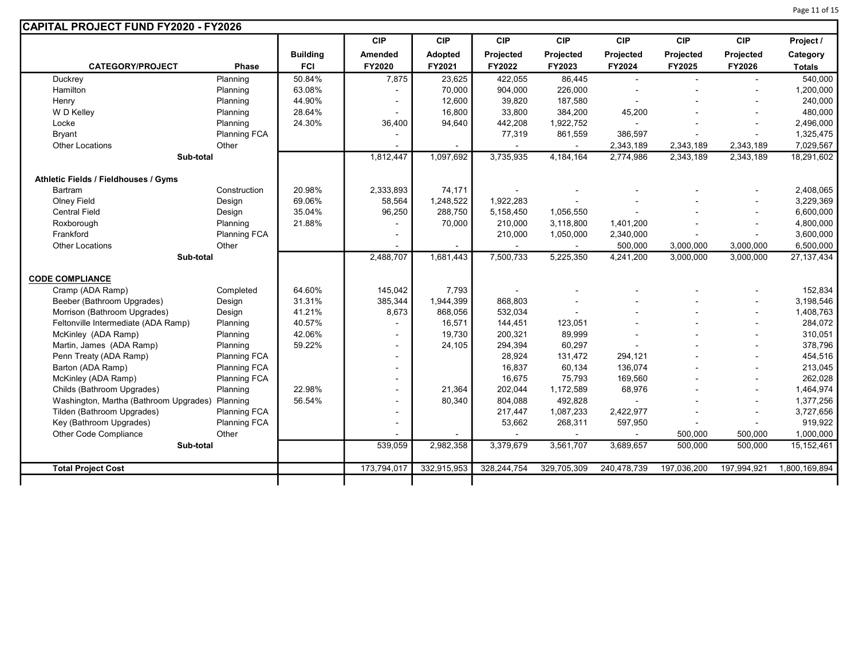| <b>CAPITAL PROJECT FUND FY2020 - FY2026</b>     |                     |                 |                          |             |             |             |             |             |             |               |
|-------------------------------------------------|---------------------|-----------------|--------------------------|-------------|-------------|-------------|-------------|-------------|-------------|---------------|
|                                                 |                     |                 | <b>CIP</b>               | <b>CIP</b>  | <b>CIP</b>  | <b>CIP</b>  | <b>CIP</b>  | <b>CIP</b>  | <b>CIP</b>  | Project /     |
|                                                 |                     | <b>Building</b> | Amended                  | Adopted     | Projected   | Projected   | Projected   | Projected   | Projected   | Category      |
| <b>CATEGORY/PROJECT</b>                         | <b>Phase</b>        | <b>FCI</b>      | FY2020                   | FY2021      | FY2022      | FY2023      | FY2024      | FY2025      | FY2026      | <b>Totals</b> |
| Duckrey                                         | Planning            | 50.84%          | 7,875                    | 23,625      | 422,055     | 86,445      |             |             |             | 540,000       |
| Hamilton                                        | Planning            | 63.08%          |                          | 70,000      | 904,000     | 226,000     |             |             |             | 1,200,000     |
| Henry                                           | Planning            | 44.90%          |                          | 12,600      | 39,820      | 187,580     |             |             |             | 240,000       |
| W D Kelley                                      | Planning            | 28.64%          |                          | 16,800      | 33,800      | 384,200     | 45,200      |             |             | 480,000       |
| Locke                                           | Planning            | 24.30%          | 36,400                   | 94,640      | 442,208     | 1,922,752   |             |             |             | 2,496,000     |
| <b>Bryant</b>                                   | <b>Planning FCA</b> |                 |                          |             | 77,319      | 861,559     | 386,597     |             |             | 1,325,475     |
| <b>Other Locations</b>                          | Other               |                 |                          |             | $\sim$      |             | 2,343,189   | 2,343,189   | 2,343,189   | 7,029,567     |
| Sub-total                                       |                     |                 | 1,812,447                | 1,097,692   | 3,735,935   | 4, 184, 164 | 2,774,986   | 2,343,189   | 2,343,189   | 18,291,602    |
|                                                 |                     |                 |                          |             |             |             |             |             |             |               |
| Athletic Fields / Fieldhouses / Gyms            |                     |                 |                          |             |             |             |             |             |             |               |
| <b>Bartram</b>                                  | Construction        | 20.98%          | 2,333,893                | 74,171      |             |             |             |             |             | 2,408,065     |
| <b>Olney Field</b>                              | Design              | 69.06%          | 58,564                   | 1,248,522   | 1,922,283   |             |             |             |             | 3,229,369     |
| <b>Central Field</b>                            | Design              | 35.04%          | 96,250                   | 288,750     | 5,158,450   | 1,056,550   |             |             |             | 6,600,000     |
| Roxborough                                      | Planning            | 21.88%          |                          | 70,000      | 210,000     | 3,118,800   | 1,401,200   |             |             | 4,800,000     |
| Frankford                                       | <b>Planning FCA</b> |                 |                          |             | 210,000     | 1,050,000   | 2,340,000   |             |             | 3,600,000     |
| <b>Other Locations</b>                          | Other               |                 |                          |             |             |             | 500,000     | 3,000,000   | 3,000,000   | 6,500,000     |
| Sub-total                                       |                     |                 | 2,488,707                | 1,681,443   | 7,500,733   | 5,225,350   | 4,241,200   | 3,000,000   | 3,000,000   | 27, 137, 434  |
|                                                 |                     |                 |                          |             |             |             |             |             |             |               |
| <b>CODE COMPLIANCE</b>                          |                     |                 |                          |             |             |             |             |             |             |               |
| Cramp (ADA Ramp)                                | Completed           | 64.60%          | 145,042                  | 7,793       |             |             |             |             |             | 152,834       |
| Beeber (Bathroom Upgrades)                      | Design              | 31.31%          | 385,344                  | 1,944,399   | 868,803     |             |             |             |             | 3,198,546     |
| Morrison (Bathroom Upgrades)                    | Design              | 41.21%          | 8,673                    | 868,056     | 532,034     |             |             |             |             | 1,408,763     |
| Feltonville Intermediate (ADA Ramp)             | Planning            | 40.57%          |                          | 16,571      | 144,451     | 123,051     |             |             |             | 284,072       |
| McKinley (ADA Ramp)                             | Planning            | 42.06%          |                          | 19,730      | 200,321     | 89,999      |             |             |             | 310,051       |
| Martin, James (ADA Ramp)                        | Planning            | 59.22%          | $\overline{\phantom{a}}$ | 24,105      | 294,394     | 60,297      |             |             |             | 378,796       |
| Penn Treaty (ADA Ramp)                          | <b>Planning FCA</b> |                 |                          |             | 28,924      | 131,472     | 294,121     |             |             | 454,516       |
| Barton (ADA Ramp)                               | <b>Planning FCA</b> |                 |                          |             | 16,837      | 60,134      | 136,074     |             |             | 213,045       |
| McKinley (ADA Ramp)                             | <b>Planning FCA</b> |                 |                          |             | 16,675      | 75,793      | 169,560     |             |             | 262,028       |
| Childs (Bathroom Upgrades)                      | Planning            | 22.98%          |                          | 21,364      | 202,044     | 1,172,589   | 68,976      |             |             | 1,464,974     |
| Washington, Martha (Bathroom Upgrades) Planning |                     | 56.54%          | $\blacksquare$           | 80,340      | 804,088     | 492,828     |             |             |             | 1,377,256     |
| Tilden (Bathroom Upgrades)                      | Planning FCA        |                 | $\overline{\phantom{a}}$ |             | 217,447     | 1,087,233   | 2,422,977   |             |             | 3,727,656     |
| Key (Bathroom Upgrades)                         | <b>Planning FCA</b> |                 | ÷                        |             | 53,662      | 268,311     | 597,950     |             |             | 919,922       |
| Other Code Compliance                           | Other               |                 |                          |             |             |             |             | 500,000     | 500,000     | 1,000,000     |
| Sub-total                                       |                     |                 | 539,059                  | 2,982,358   | 3,379,679   | 3,561,707   | 3,689,657   | 500,000     | 500,000     | 15, 152, 461  |
| <b>Total Project Cost</b>                       |                     |                 | 173,794,017              | 332,915,953 | 328,244,754 | 329,705,309 | 240,478,739 | 197,036,200 | 197,994,921 | 1,800,169,894 |
|                                                 |                     |                 |                          |             |             |             |             |             |             |               |
|                                                 |                     |                 |                          |             |             |             |             |             |             |               |

Page 11 of 15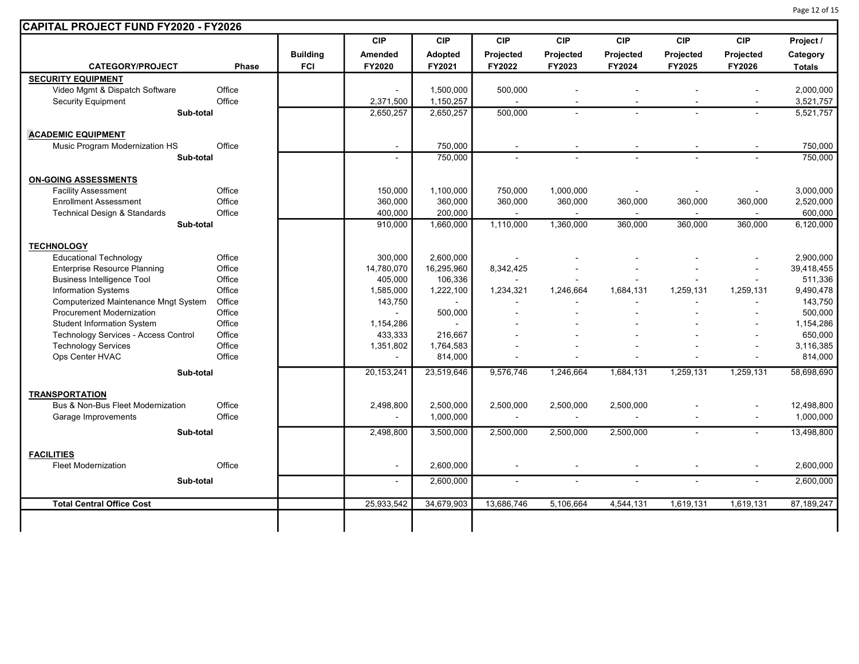|                                      |        |                 | <b>CIP</b>     | <b>CIP</b>     | <b>CIP</b>               | <b>CIP</b>               | <b>CIP</b>     | <b>CIP</b>     | <b>CIP</b>     | Project /     |
|--------------------------------------|--------|-----------------|----------------|----------------|--------------------------|--------------------------|----------------|----------------|----------------|---------------|
|                                      |        | <b>Building</b> | Amended        | Adopted        | Projected                | Projected                | Projected      | Projected      | Projected      | Category      |
| <b>CATEGORY/PROJECT</b>              | Phase  | <b>FCI</b>      | FY2020         | FY2021         | FY2022                   | FY2023                   | FY2024         | FY2025         | FY2026         | <b>Totals</b> |
| <b>SECURITY EQUIPMENT</b>            |        |                 |                |                |                          |                          |                |                |                |               |
| Video Mgmt & Dispatch Software       | Office |                 |                | 1,500,000      | 500,000                  |                          |                |                |                | 2,000,000     |
| <b>Security Equipment</b>            | Office |                 | 2,371,500      | 1,150,257      | $\sim$                   |                          |                |                |                | 3,521,757     |
| Sub-total                            |        |                 | 2,650,257      | 2,650,257      | 500,000                  | $\overline{a}$           |                |                | $\sim$         | 5,521,757     |
| <b>ACADEMIC EQUIPMENT</b>            |        |                 |                |                |                          |                          |                |                |                |               |
| Music Program Modernization HS       | Office |                 | $\blacksquare$ | 750,000        | $\overline{\phantom{a}}$ | $\overline{\phantom{a}}$ |                | $\blacksquare$ |                | 750,000       |
| Sub-total                            |        |                 | $\sim$         | 750,000        |                          |                          |                |                |                | 750,000       |
| <b>ON-GOING ASSESSMENTS</b>          |        |                 |                |                |                          |                          |                |                |                |               |
| <b>Facility Assessment</b>           | Office |                 | 150,000        | 1,100,000      | 750,000                  | 1,000,000                | $\blacksquare$ | $\sim$         |                | 3,000,000     |
| <b>Enrollment Assessment</b>         | Office |                 | 360,000        | 360,000        | 360,000                  | 360,000                  | 360,000        | 360,000        | 360,000        | 2,520,000     |
| Technical Design & Standards         | Office |                 | 400,000        | 200,000        |                          | $\overline{\phantom{a}}$ |                |                |                | 600,000       |
| Sub-total                            |        |                 | 910,000        | 1,660,000      | 1,110,000                | 1,360,000                | 360,000        | 360,000        | 360,000        | 6,120,000     |
| <b>TECHNOLOGY</b>                    |        |                 |                |                |                          |                          |                |                |                |               |
| <b>Educational Technology</b>        | Office |                 | 300.000        | 2,600,000      |                          |                          |                |                |                | 2,900,000     |
| <b>Enterprise Resource Planning</b>  | Office |                 | 14,780,070     | 16,295,960     | 8,342,425                |                          |                |                |                | 39,418,455    |
| <b>Business Intelligence Tool</b>    | Office |                 | 405,000        | 106,336        |                          |                          |                |                |                | 511,336       |
| <b>Information Systems</b>           | Office |                 | 1,585,000      | 1,222,100      | 1,234,321                | 1,246,664                | 1,684,131      | 1,259,131      | 1,259,131      | 9,490,478     |
| Computerized Maintenance Mngt System | Office |                 | 143,750        | $\sim$         |                          |                          |                |                |                | 143,750       |
| <b>Procurement Modernization</b>     | Office |                 |                | 500,000        |                          |                          |                |                |                | 500,000       |
| <b>Student Information System</b>    | Office |                 | 1,154,286      | $\blacksquare$ |                          |                          |                |                |                | 1,154,286     |
| Technology Services - Access Control | Office |                 | 433,333        | 216,667        |                          |                          |                |                |                | 650,000       |
| <b>Technology Services</b>           | Office |                 | 1,351,802      | 1,764,583      |                          |                          |                |                |                | 3,116,385     |
| Ops Center HVAC                      | Office |                 |                | 814,000        |                          |                          |                |                |                | 814,000       |
| Sub-total                            |        |                 | 20, 153, 241   | 23,519,646     | 9,576,746                | 1,246,664                | 1,684,131      | 1,259,131      | 1,259,131      | 58,698,690    |
| <b>TRANSPORTATION</b>                |        |                 |                |                |                          |                          |                |                |                |               |
| Bus & Non-Bus Fleet Modernization    | Office |                 | 2,498,800      | 2,500,000      | 2,500,000                | 2,500,000                | 2,500,000      |                |                | 12,498,800    |
| Garage Improvements                  | Office |                 | $\overline{a}$ | 1,000,000      | $\sim$                   | $\sim$                   | $\blacksquare$ |                | $\sim$         | 1,000,000     |
| Sub-total                            |        |                 | 2.498.800      | 3,500,000      | 2,500,000                | 2,500,000                | 2,500,000      | $\blacksquare$ | $\sim$         | 13,498,800    |
| <b>FACILITIES</b>                    |        |                 |                |                |                          |                          |                |                |                |               |
| <b>Fleet Modernization</b>           | Office |                 | $\blacksquare$ | 2,600,000      |                          | $\blacksquare$           |                |                |                | 2,600,000     |
| Sub-total                            |        |                 | $\sim$         | 2,600,000      | $\sim$                   | $\blacksquare$           |                | $\overline{a}$ | $\overline{a}$ | 2,600,000     |
| <b>Total Central Office Cost</b>     |        |                 | 25,933,542     | 34,679,903     | 13,686,746               | 5,106,664                | 4,544,131      | 1,619,131      | 1,619,131      | 87,189,247    |

Page 12 of 15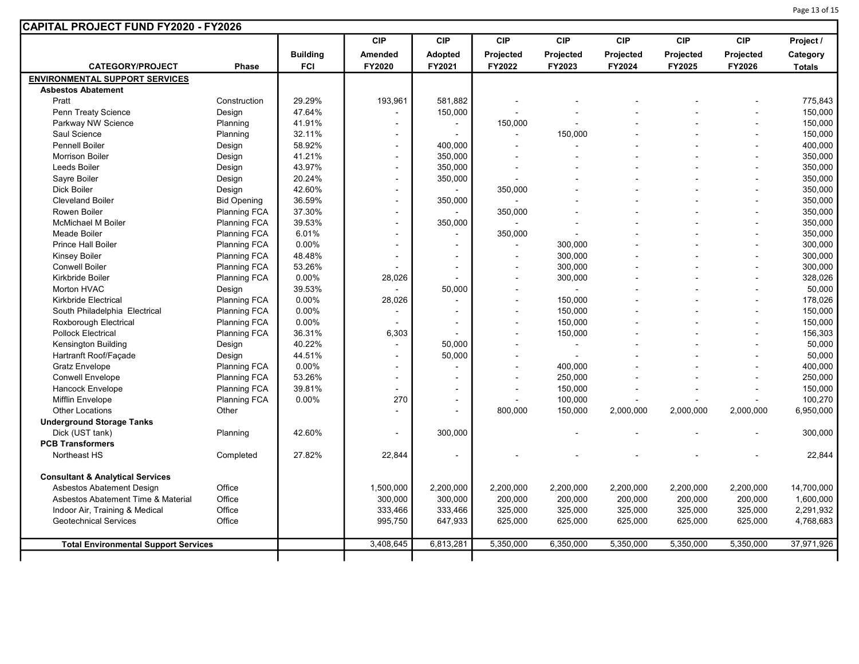| Page 13 of 15 |  |  |  |
|---------------|--|--|--|
|---------------|--|--|--|

| <b>CAPITAL PROJECT FUND FY2020 - FY2026</b> |                     |                 |                          |                |            |                |            |            |                |               |
|---------------------------------------------|---------------------|-----------------|--------------------------|----------------|------------|----------------|------------|------------|----------------|---------------|
|                                             |                     |                 | <b>CIP</b>               | <b>CIP</b>     | <b>CIP</b> | <b>CIP</b>     | <b>CIP</b> | <b>CIP</b> | <b>CIP</b>     | Project /     |
|                                             |                     | <b>Building</b> | Amended                  | <b>Adopted</b> | Projected  | Projected      | Projected  | Projected  | Projected      | Category      |
| <b>CATEGORY/PROJECT</b>                     | <b>Phase</b>        | <b>FCI</b>      | FY2020                   | FY2021         | FY2022     | FY2023         | FY2024     | FY2025     | FY2026         | <b>Totals</b> |
| <b>ENVIRONMENTAL SUPPORT SERVICES</b>       |                     |                 |                          |                |            |                |            |            |                |               |
| <b>Asbestos Abatement</b>                   |                     |                 |                          |                |            |                |            |            |                |               |
| Pratt                                       | Construction        | 29.29%          | 193,961                  | 581.882        |            |                |            |            |                | 775,843       |
| Penn Treaty Science                         | Design              | 47.64%          |                          | 150,000        |            |                |            |            |                | 150,000       |
| Parkway NW Science                          | Planning            | 41.91%          | ÷.                       | $\blacksquare$ | 150,000    |                |            |            |                | 150,000       |
| Saul Science                                | Planning            | 32.11%          |                          |                |            | 150,000        |            |            |                | 150,000       |
| <b>Pennell Boiler</b>                       | Design              | 58.92%          | $\sim$                   | 400,000        |            |                |            |            |                | 400,000       |
| <b>Morrison Boiler</b>                      | Design              | 41.21%          | $\overline{a}$           | 350,000        |            |                |            |            |                | 350,000       |
| Leeds Boiler                                | Design              | 43.97%          | $\blacksquare$           | 350,000        |            |                |            |            |                | 350,000       |
| Sayre Boiler                                | Design              | 20.24%          | $\overline{\phantom{a}}$ | 350,000        |            |                |            |            |                | 350,000       |
| <b>Dick Boiler</b>                          | Design              | 42.60%          | $\overline{\phantom{a}}$ | $\overline{a}$ | 350,000    |                |            |            |                | 350,000       |
| <b>Cleveland Boiler</b>                     | <b>Bid Opening</b>  | 36.59%          | ÷,                       | 350,000        |            |                |            |            |                | 350,000       |
| Rowen Boiler                                | <b>Planning FCA</b> | 37.30%          | $\overline{a}$           | $\overline{a}$ | 350,000    |                |            |            |                | 350,000       |
| <b>McMichael M Boiler</b>                   | <b>Planning FCA</b> | 39.53%          | $\overline{a}$           | 350,000        |            |                |            |            |                | 350,000       |
| Meade Boiler                                | Planning FCA        | 6.01%           | $\overline{\phantom{a}}$ | $\blacksquare$ | 350,000    |                |            |            |                | 350,000       |
| Prince Hall Boiler                          | <b>Planning FCA</b> | 0.00%           | $\sim$                   | $\sim$         |            | 300,000        |            |            | $\overline{a}$ | 300,000       |
| Kinsey Boiler                               | <b>Planning FCA</b> | 48.48%          | $\blacksquare$           | $\sim$         |            | 300,000        |            |            | $\sim$         | 300,000       |
| <b>Conwell Boiler</b>                       | <b>Planning FCA</b> | 53.26%          |                          | $\sim$         |            | 300,000        |            |            | $\sim$         | 300,000       |
| Kirkbride Boiler                            | <b>Planning FCA</b> | 0.00%           | 28,026                   |                |            | 300,000        |            |            | ÷.             | 328,026       |
| <b>Morton HVAC</b>                          | Design              | 39.53%          |                          | 50,000         |            | $\mathbf{r}$   |            |            | $\blacksquare$ | 50,000        |
| <b>Kirkbride Electrical</b>                 | <b>Planning FCA</b> | 0.00%           | 28,026                   | $\blacksquare$ |            | 150,000        |            |            |                | 178,026       |
| South Philadelphia Electrical               | <b>Planning FCA</b> | 0.00%           | $\overline{a}$           |                |            | 150,000        |            |            | $\overline{a}$ | 150,000       |
| Roxborough Electrical                       | <b>Planning FCA</b> | 0.00%           |                          | $\overline{a}$ |            | 150,000        |            |            |                | 150,000       |
| <b>Pollock Electrical</b>                   | <b>Planning FCA</b> | 36.31%          | 6,303                    |                |            | 150,000        |            |            | ÷.             | 156,303       |
| <b>Kensington Building</b>                  | Design              | 40.22%          |                          | 50,000         |            | $\sim$         |            |            |                | 50,000        |
| Hartranft Roof/Façade                       | Design              | 44.51%          | $\blacksquare$           | 50,000         |            | $\blacksquare$ |            |            |                | 50,000        |
| <b>Gratz Envelope</b>                       | <b>Planning FCA</b> | 0.00%           | $\blacksquare$           | $\overline{a}$ |            | 400,000        |            |            |                | 400,000       |
| <b>Conwell Envelope</b>                     | <b>Planning FCA</b> | 53.26%          | ÷,                       | $\overline{a}$ |            | 250,000        |            |            |                | 250,000       |
| Hancock Envelope                            | <b>Planning FCA</b> | 39.81%          |                          | $\blacksquare$ |            | 150,000        |            |            |                | 150,000       |
| <b>Mifflin Envelope</b>                     | <b>Planning FCA</b> | 0.00%           | 270                      | $\overline{a}$ |            | 100,000        |            |            |                | 100,270       |
| <b>Other Locations</b>                      | Other               |                 |                          | $\overline{a}$ | 800,000    | 150,000        | 2,000,000  | 2,000,000  | 2,000,000      | 6,950,000     |
| <b>Underground Storage Tanks</b>            |                     |                 |                          |                |            |                |            |            |                |               |
| Dick (UST tank)                             | Planning            | 42.60%          |                          | 300,000        |            |                |            |            |                | 300,000       |
| <b>PCB Transformers</b>                     |                     |                 |                          |                |            |                |            |            |                |               |
| Northeast HS                                | Completed           | 27.82%          | 22,844                   |                |            |                |            |            |                | 22,844        |
|                                             |                     |                 |                          |                |            |                |            |            |                |               |
| <b>Consultant &amp; Analytical Services</b> |                     |                 |                          |                |            |                |            |            |                |               |
| Asbestos Abatement Design                   | Office              |                 | 1,500,000                | 2,200,000      | 2,200,000  | 2,200,000      | 2,200,000  | 2,200,000  | 2,200,000      | 14,700,000    |
| Asbestos Abatement Time & Material          | Office              |                 | 300,000                  | 300,000        | 200,000    | 200,000        | 200,000    | 200,000    | 200,000        | 1,600,000     |
| Indoor Air, Training & Medical              | Office              |                 | 333,466                  | 333,466        | 325,000    | 325,000        | 325,000    | 325,000    | 325,000        | 2,291,932     |
| <b>Geotechnical Services</b>                | Office              |                 | 995,750                  | 647,933        | 625,000    | 625,000        | 625,000    | 625,000    | 625,000        | 4,768,683     |
|                                             |                     |                 |                          |                |            |                |            |            |                |               |
| <b>Total Environmental Support Services</b> |                     |                 | 3,408,645                | 6,813,281      | 5,350,000  | 6,350,000      | 5,350,000  | 5,350,000  | 5,350,000      | 37,971,926    |
|                                             |                     |                 |                          |                |            |                |            |            |                |               |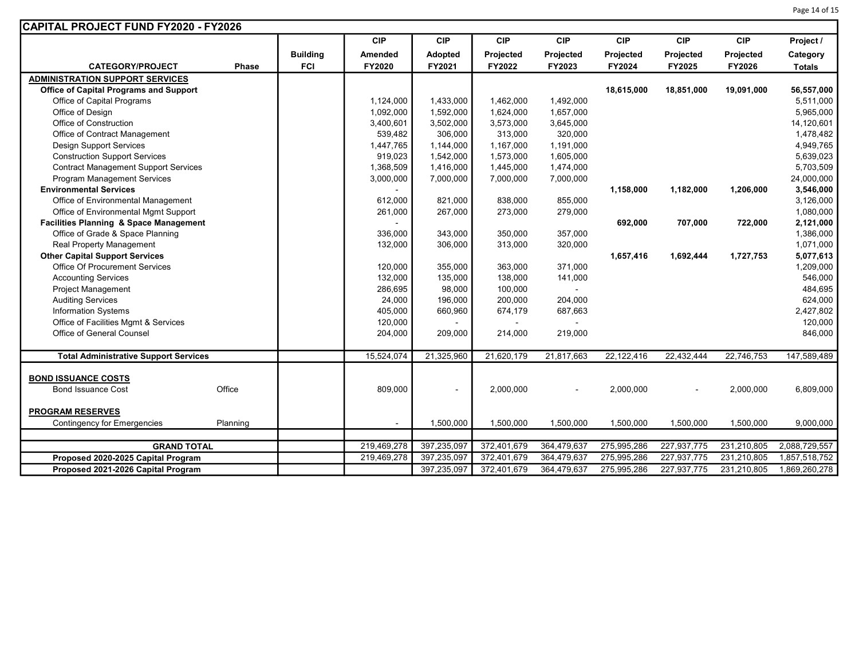| Page 14 of 15 |  |  |  |
|---------------|--|--|--|
|---------------|--|--|--|

| CAPITAL PROJECT FUND FY2020 - FY2026          |              |                 |             |                |             |             |             |             |             |               |
|-----------------------------------------------|--------------|-----------------|-------------|----------------|-------------|-------------|-------------|-------------|-------------|---------------|
|                                               |              |                 | <b>CIP</b>  | <b>CIP</b>     | <b>CIP</b>  | <b>CIP</b>  | <b>CIP</b>  | <b>CIP</b>  | <b>CIP</b>  | Project /     |
|                                               |              | <b>Building</b> | Amended     | Adopted        | Projected   | Projected   | Projected   | Projected   | Projected   | Category      |
| <b>CATEGORY/PROJECT</b>                       | <b>Phase</b> | <b>FCI</b>      | FY2020      | FY2021         | FY2022      | FY2023      | FY2024      | FY2025      | FY2026      | <b>Totals</b> |
| <b>ADMINISTRATION SUPPORT SERVICES</b>        |              |                 |             |                |             |             |             |             |             |               |
| <b>Office of Capital Programs and Support</b> |              |                 |             |                |             |             | 18,615,000  | 18,851,000  | 19,091,000  | 56,557,000    |
| Office of Capital Programs                    |              |                 | 1,124,000   | 1,433,000      | 1,462,000   | 1,492,000   |             |             |             | 5,511,000     |
| Office of Design                              |              |                 | 1,092,000   | 1,592,000      | 1,624,000   | 1,657,000   |             |             |             | 5,965,000     |
| Office of Construction                        |              |                 | 3,400,601   | 3,502,000      | 3,573,000   | 3,645,000   |             |             |             | 14,120,601    |
| Office of Contract Management                 |              |                 | 539,482     | 306,000        | 313,000     | 320,000     |             |             |             | 1,478,482     |
| <b>Design Support Services</b>                |              |                 | 1,447,765   | 1,144,000      | 1,167,000   | 1,191,000   |             |             |             | 4,949,765     |
| <b>Construction Support Services</b>          |              |                 | 919,023     | 1,542,000      | 1,573,000   | 1,605,000   |             |             |             | 5,639,023     |
| <b>Contract Management Support Services</b>   |              |                 | 1,368,509   | 1,416,000      | 1,445,000   | 1,474,000   |             |             |             | 5,703,509     |
| <b>Program Management Services</b>            |              |                 | 3,000,000   | 7,000,000      | 7,000,000   | 7,000,000   |             |             |             | 24,000,000    |
| <b>Environmental Services</b>                 |              |                 |             |                |             |             | 1,158,000   | 1,182,000   | 1,206,000   | 3,546,000     |
| Office of Environmental Management            |              |                 | 612,000     | 821,000        | 838,000     | 855,000     |             |             |             | 3,126,000     |
| Office of Environmental Mgmt Support          |              |                 | 261,000     | 267,000        | 273,000     | 279,000     |             |             |             | 1,080,000     |
| Facilities Planning & Space Management        |              |                 |             |                |             |             | 692,000     | 707,000     | 722,000     | 2,121,000     |
| Office of Grade & Space Planning              |              |                 | 336,000     | 343,000        | 350,000     | 357,000     |             |             |             | 1,386,000     |
| Real Property Management                      |              |                 | 132,000     | 306,000        | 313,000     | 320,000     |             |             |             | 1,071,000     |
| <b>Other Capital Support Services</b>         |              |                 |             |                |             |             | 1,657,416   | 1,692,444   | 1,727,753   | 5,077,613     |
| Office Of Procurement Services                |              |                 | 120,000     | 355,000        | 363,000     | 371,000     |             |             |             | 1,209,000     |
| <b>Accounting Services</b>                    |              |                 | 132,000     | 135,000        | 138,000     | 141,000     |             |             |             | 546,000       |
| <b>Project Management</b>                     |              |                 | 286,695     | 98,000         | 100,000     | $\sim$      |             |             |             | 484,695       |
| <b>Auditing Services</b>                      |              |                 | 24,000      | 196,000        | 200,000     | 204,000     |             |             |             | 624,000       |
| Information Systems                           |              |                 | 405,000     | 660,960        | 674,179     | 687,663     |             |             |             | 2,427,802     |
| Office of Facilities Mgmt & Services          |              |                 | 120,000     | $\blacksquare$ |             |             |             |             |             | 120,000       |
| Office of General Counsel                     |              |                 | 204,000     | 209,000        | 214,000     | 219,000     |             |             |             | 846,000       |
|                                               |              |                 |             |                |             |             |             |             |             |               |
| <b>Total Administrative Support Services</b>  |              |                 | 15,524,074  | 21,325,960     | 21,620,179  | 21,817,663  | 22,122,416  | 22,432,444  | 22,746,753  | 147,589,489   |
|                                               |              |                 |             |                |             |             |             |             |             |               |
| <b>BOND ISSUANCE COSTS</b>                    |              |                 |             |                |             |             |             |             |             |               |
| <b>Bond Issuance Cost</b>                     | Office       |                 | 809,000     | $\blacksquare$ | 2,000,000   |             | 2,000,000   |             | 2,000,000   | 6,809,000     |
| <b>PROGRAM RESERVES</b>                       |              |                 |             |                |             |             |             |             |             |               |
| <b>Contingency for Emergencies</b>            | Planning     |                 | $\sim$      | 1,500,000      | 1,500,000   | 1,500,000   | 1,500,000   | 1,500,000   | 1,500,000   | 9,000,000     |
|                                               |              |                 |             |                |             |             |             |             |             |               |
| <b>GRAND TOTAL</b>                            |              |                 | 219,469,278 | 397,235,097    | 372,401,679 | 364,479,637 | 275,995,286 | 227,937,775 | 231,210,805 | 2,088,729,557 |
| Proposed 2020-2025 Capital Program            |              |                 | 219,469,278 | 397,235,097    | 372,401,679 | 364,479,637 | 275,995,286 | 227,937,775 | 231,210,805 | 1,857,518,752 |
| Proposed 2021-2026 Capital Program            |              |                 |             | 397,235,097    | 372,401,679 | 364,479,637 | 275,995,286 | 227,937,775 | 231,210,805 | 1,869,260,278 |